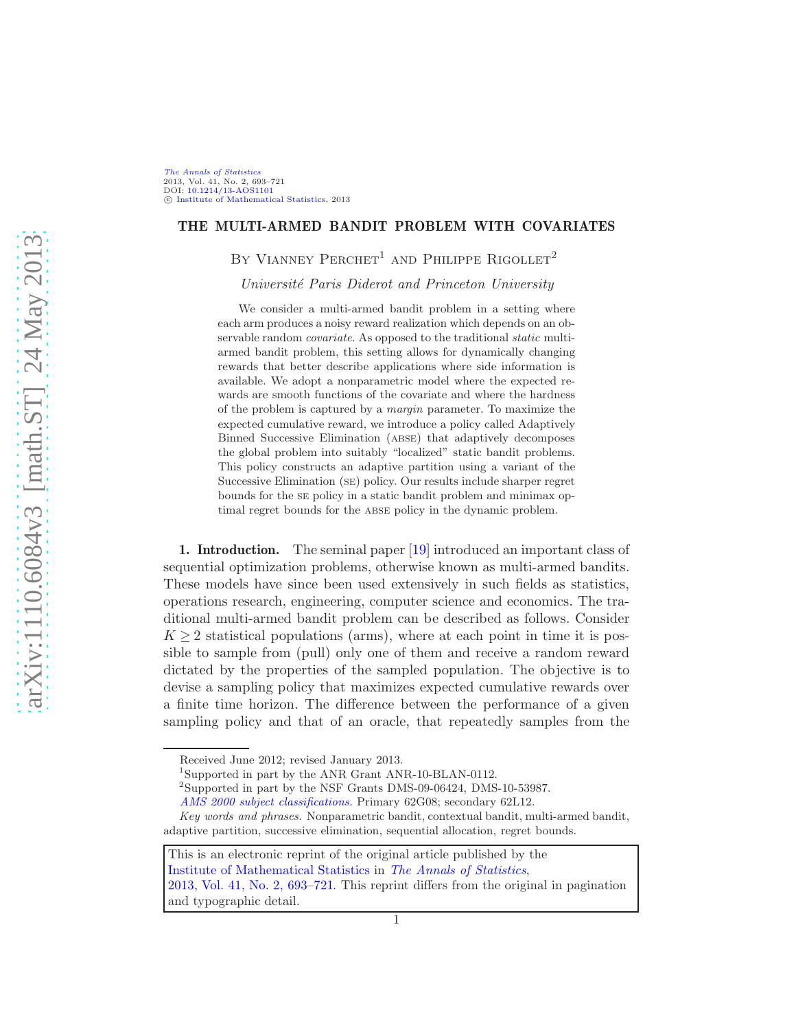## THE MULTI-ARMED BANDIT PROBLEM WITH COVARIATES

BY VIANNEY PERCHET<sup>1</sup> AND PHILIPPE RIGOLLET<sup>2</sup>

Université Paris Diderot and Princeton University

We consider a multi-armed bandit problem in a setting where each arm produces a noisy reward realization which depends on an observable random *covariate*. As opposed to the traditional *static* multiarmed bandit problem, this setting allows for dynamically changing rewards that better describe applications where side information is available. We adopt a nonparametric model where the expected rewards are smooth functions of the covariate and where the hardness of the problem is captured by a *margin* parameter. To maximize the expected cumulative reward, we introduce a policy called Adaptively Binned Successive Elimination (abse) that adaptively decomposes the global problem into suitably "localized" static bandit problems. This policy constructs an adaptive partition using a variant of the Successive Elimination (se) policy. Our results include sharper regret bounds for the se policy in a static bandit problem and minimax optimal regret bounds for the abse policy in the dynamic problem.

1. Introduction. The seminal paper [\[19](#page-28-0)] introduced an important class of sequential optimization problems, otherwise known as multi-armed bandits. These models have since been used extensively in such fields as statistics, operations research, engineering, computer science and economics. The traditional multi-armed bandit problem can be described as follows. Consider  $K \geq 2$  statistical populations (arms), where at each point in time it is possible to sample from (pull) only one of them and receive a random reward dictated by the properties of the sampled population. The objective is to devise a sampling policy that maximizes expected cumulative rewards over a finite time horizon. The difference between the performance of a given sampling policy and that of an oracle, that repeatedly samples from the

Received June 2012; revised January 2013.

<sup>&</sup>lt;sup>1</sup>Supported in part by the ANR Grant ANR-10-BLAN-0112.

<sup>2</sup> Supported in part by the NSF Grants DMS-09-06424, DMS-10-53987.

*[AMS 2000 subject classifications.](http://www.ams.org/msc/)* Primary 62G08; secondary 62L12.

*Key words and phrases.* Nonparametric bandit, contextual bandit, multi-armed bandit, adaptive partition, successive elimination, sequential allocation, regret bounds.

This is an electronic reprint of the original article published by the

[Institute of Mathematical Statistics](http://www.imstat.org) in [The Annals of Statistics](http://www.imstat.org/aos/),

[<sup>2013,</sup> Vol. 41, No. 2, 693–721.](http://dx.doi.org/10.1214/13-AOS1101) This reprint differs from the original in pagination and typographic detail.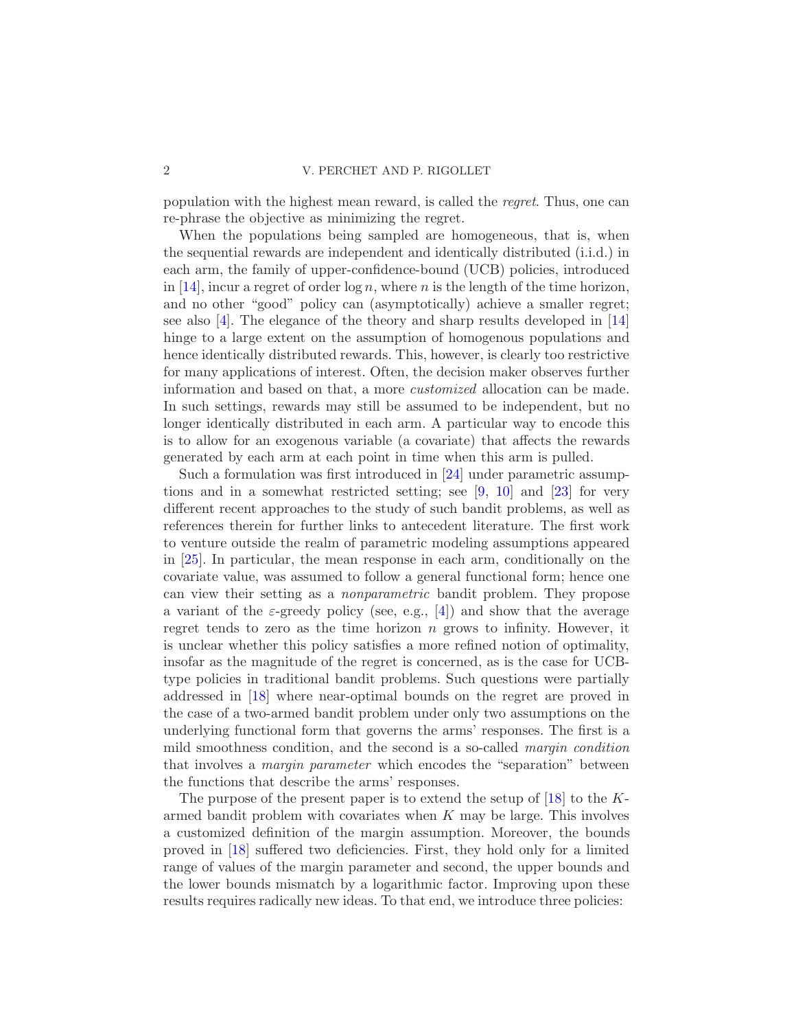## 2 V. PERCHET AND P. RIGOLLET

population with the highest mean reward, is called the regret. Thus, one can re-phrase the objective as minimizing the regret.

When the populations being sampled are homogeneous, that is, when the sequential rewards are independent and identically distributed (i.i.d.) in each arm, the family of upper-confidence-bound (UCB) policies, introduced in [\[14](#page-28-1)], incur a regret of order  $\log n$ , where n is the length of the time horizon, and no other "good" policy can (asymptotically) achieve a smaller regret; see also [\[4](#page-28-2)]. The elegance of the theory and sharp results developed in [\[14](#page-28-1)] hinge to a large extent on the assumption of homogenous populations and hence identically distributed rewards. This, however, is clearly too restrictive for many applications of interest. Often, the decision maker observes further information and based on that, a more customized allocation can be made. In such settings, rewards may still be assumed to be independent, but no longer identically distributed in each arm. A particular way to encode this is to allow for an exogenous variable (a covariate) that affects the rewards generated by each arm at each point in time when this arm is pulled.

Such a formulation was first introduced in [\[24\]](#page-29-0) under parametric assumptions and in a somewhat restricted setting; see [\[9](#page-28-3), [10](#page-28-4)] and [\[23](#page-29-1)] for very different recent approaches to the study of such bandit problems, as well as references therein for further links to antecedent literature. The first work to venture outside the realm of parametric modeling assumptions appeared in [\[25\]](#page-29-2). In particular, the mean response in each arm, conditionally on the covariate value, was assumed to follow a general functional form; hence one can view their setting as a nonparametric bandit problem. They propose a variant of the  $\varepsilon$ -greedy policy (see, e.g., [\[4\]](#page-28-2)) and show that the average regret tends to zero as the time horizon  $n$  grows to infinity. However, it is unclear whether this policy satisfies a more refined notion of optimality, insofar as the magnitude of the regret is concerned, as is the case for UCBtype policies in traditional bandit problems. Such questions were partially addressed in [\[18\]](#page-28-5) where near-optimal bounds on the regret are proved in the case of a two-armed bandit problem under only two assumptions on the underlying functional form that governs the arms' responses. The first is a mild smoothness condition, and the second is a so-called *margin condition* that involves a *margin parameter* which encodes the "separation" between the functions that describe the arms' responses.

The purpose of the present paper is to extend the setup of [\[18](#page-28-5)] to the Karmed bandit problem with covariates when  $K$  may be large. This involves a customized definition of the margin assumption. Moreover, the bounds proved in [\[18](#page-28-5)] suffered two deficiencies. First, they hold only for a limited range of values of the margin parameter and second, the upper bounds and the lower bounds mismatch by a logarithmic factor. Improving upon these results requires radically new ideas. To that end, we introduce three policies: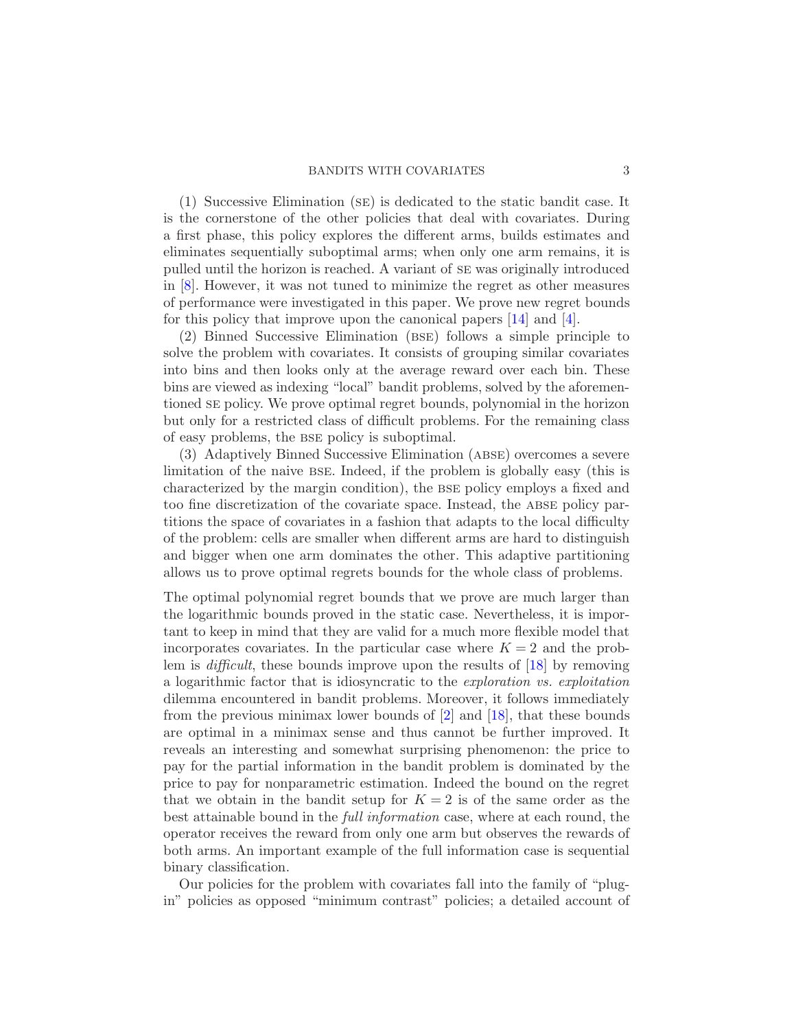#### BANDITS WITH COVARIATES 3

(1) Successive Elimination (se) is dedicated to the static bandit case. It is the cornerstone of the other policies that deal with covariates. During a first phase, this policy explores the different arms, builds estimates and eliminates sequentially suboptimal arms; when only one arm remains, it is pulled until the horizon is reached. A variant of se was originally introduced in [\[8](#page-28-6)]. However, it was not tuned to minimize the regret as other measures of performance were investigated in this paper. We prove new regret bounds for this policy that improve upon the canonical papers [\[14](#page-28-1)] and [\[4\]](#page-28-2).

(2) Binned Successive Elimination (bse) follows a simple principle to solve the problem with covariates. It consists of grouping similar covariates into bins and then looks only at the average reward over each bin. These bins are viewed as indexing "local" bandit problems, solved by the aforementioned se policy. We prove optimal regret bounds, polynomial in the horizon but only for a restricted class of difficult problems. For the remaining class of easy problems, the bse policy is suboptimal.

(3) Adaptively Binned Successive Elimination (abse) overcomes a severe limitation of the naive bse. Indeed, if the problem is globally easy (this is characterized by the margin condition), the bse policy employs a fixed and too fine discretization of the covariate space. Instead, the abse policy partitions the space of covariates in a fashion that adapts to the local difficulty of the problem: cells are smaller when different arms are hard to distinguish and bigger when one arm dominates the other. This adaptive partitioning allows us to prove optimal regrets bounds for the whole class of problems.

The optimal polynomial regret bounds that we prove are much larger than the logarithmic bounds proved in the static case. Nevertheless, it is important to keep in mind that they are valid for a much more flexible model that incorporates covariates. In the particular case where  $K = 2$  and the problem is difficult, these bounds improve upon the results of [\[18](#page-28-5)] by removing a logarithmic factor that is idiosyncratic to the exploration vs. exploitation dilemma encountered in bandit problems. Moreover, it follows immediately from the previous minimax lower bounds of [\[2\]](#page-28-7) and [\[18\]](#page-28-5), that these bounds are optimal in a minimax sense and thus cannot be further improved. It reveals an interesting and somewhat surprising phenomenon: the price to pay for the partial information in the bandit problem is dominated by the price to pay for nonparametric estimation. Indeed the bound on the regret that we obtain in the bandit setup for  $K = 2$  is of the same order as the best attainable bound in the *full information* case, where at each round, the operator receives the reward from only one arm but observes the rewards of both arms. An important example of the full information case is sequential binary classification.

Our policies for the problem with covariates fall into the family of "plugin" policies as opposed "minimum contrast" policies; a detailed account of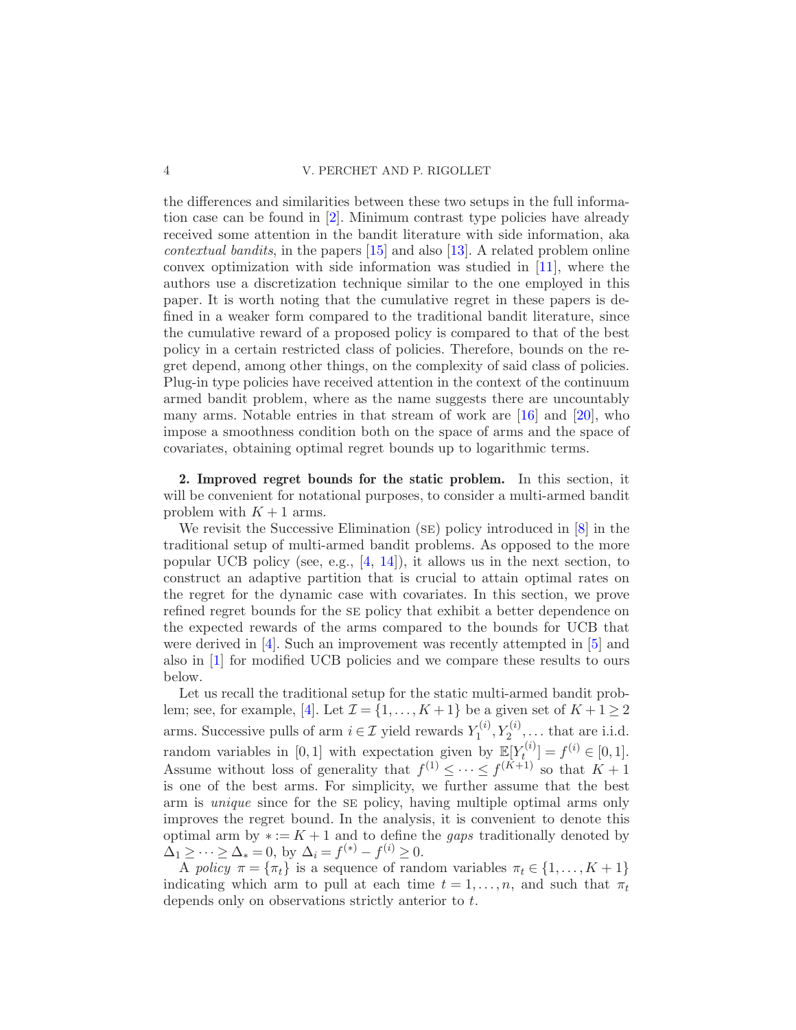the differences and similarities between these two setups in the full information case can be found in [\[2\]](#page-28-7). Minimum contrast type policies have already received some attention in the bandit literature with side information, aka contextual bandits, in the papers [\[15](#page-28-8)] and also [\[13](#page-28-9)]. A related problem online convex optimization with side information was studied in [\[11\]](#page-28-10), where the authors use a discretization technique similar to the one employed in this paper. It is worth noting that the cumulative regret in these papers is defined in a weaker form compared to the traditional bandit literature, since the cumulative reward of a proposed policy is compared to that of the best policy in a certain restricted class of policies. Therefore, bounds on the regret depend, among other things, on the complexity of said class of policies. Plug-in type policies have received attention in the context of the continuum armed bandit problem, where as the name suggests there are uncountably many arms. Notable entries in that stream of work are [\[16](#page-28-11)] and [\[20\]](#page-29-3), who impose a smoothness condition both on the space of arms and the space of covariates, obtaining optimal regret bounds up to logarithmic terms.

<span id="page-3-0"></span>2. Improved regret bounds for the static problem. In this section, it will be convenient for notational purposes, to consider a multi-armed bandit problem with  $K + 1$  arms.

We revisit the Successive Elimination (SE) policy introduced in  $[8]$  in the traditional setup of multi-armed bandit problems. As opposed to the more popular UCB policy (see, e.g.,  $[4, 14]$  $[4, 14]$  $[4, 14]$ ), it allows us in the next section, to construct an adaptive partition that is crucial to attain optimal rates on the regret for the dynamic case with covariates. In this section, we prove refined regret bounds for the se policy that exhibit a better dependence on the expected rewards of the arms compared to the bounds for UCB that were derived in  $[4]$ . Such an improvement was recently attempted in  $[5]$  and also in [\[1\]](#page-28-13) for modified UCB policies and we compare these results to ours below.

Let us recall the traditional setup for the static multi-armed bandit prob-lem; see, for example, [\[4\]](#page-28-2). Let  $\mathcal{I} = \{1, \ldots, K+1\}$  be a given set of  $K + 1 \geq 2$ arms. Successive pulls of arm  $i \in \mathcal{I}$  yield rewards  $Y_1^{(i)}$  $Y_1^{(i)}, Y_2^{(i)}, \dots$  that are i.i.d. random variables in [0,1] with expectation given by  $\mathbb{E}[Y_t^{(i)}]$  $[t_1^{(i)}] = f^{(i)} \in [0,1].$ Assume without loss of generality that  $f^{(1)} \leq \cdots \leq f^{(K+1)}$  so that  $K+1$ is one of the best arms. For simplicity, we further assume that the best arm is unique since for the se policy, having multiple optimal arms only improves the regret bound. In the analysis, it is convenient to denote this optimal arm by  $\ast := K + 1$  and to define the gaps traditionally denoted by  $\Delta_1 \ge \dots \ge \Delta_* = 0$ , by  $\Delta_i = f^{(*)} - f^{(i)} \ge 0$ .

A policy  $\pi = {\pi_t}$  is a sequence of random variables  $\pi_t \in \{1, ..., K + 1\}$ indicating which arm to pull at each time  $t = 1, \ldots, n$ , and such that  $\pi_t$ depends only on observations strictly anterior to t.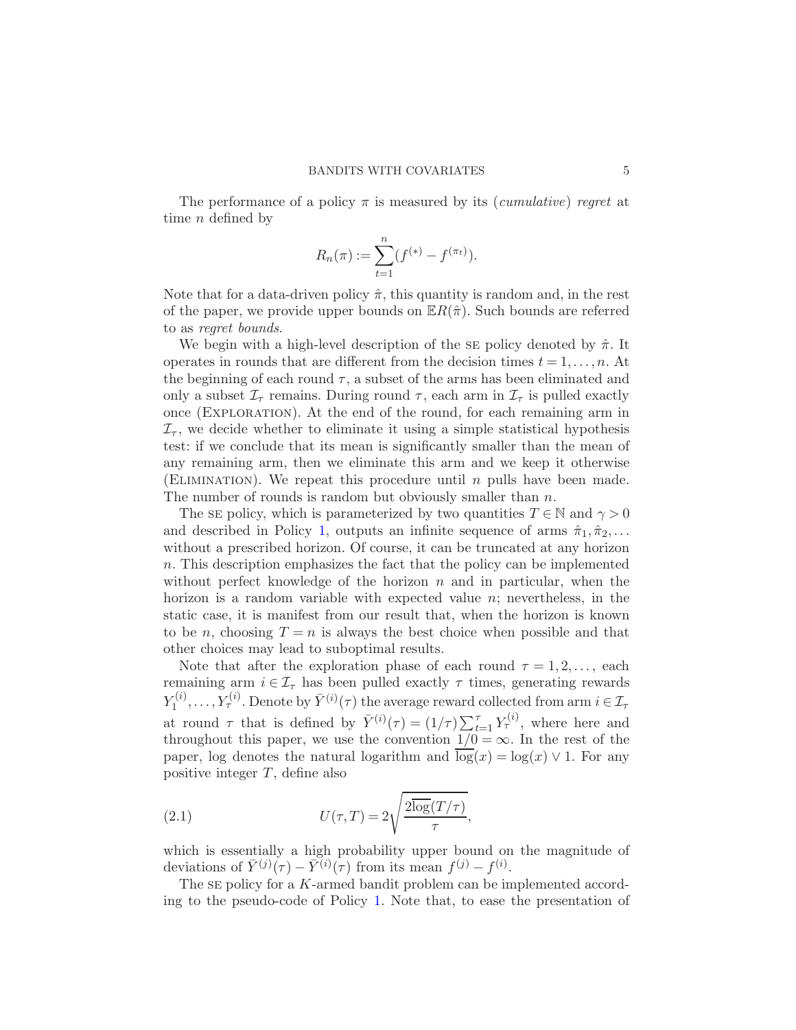The performance of a policy  $\pi$  is measured by its *(cumulative) regret* at time *n* defined by

$$
R_n(\pi) := \sum_{t=1}^n (f^{(*)} - f^{(\pi_t)}).
$$

Note that for a data-driven policy  $\hat{\pi}$ , this quantity is random and, in the rest of the paper, we provide upper bounds on  $\mathbb{E} R(\hat{\pi})$ . Such bounds are referred to as regret bounds.

We begin with a high-level description of the set policy denoted by  $\hat{\pi}$ . It operates in rounds that are different from the decision times  $t = 1, \ldots, n$ . At the beginning of each round  $\tau$ , a subset of the arms has been eliminated and only a subset  $\mathcal{I}_{\tau}$  remains. During round  $\tau$ , each arm in  $\mathcal{I}_{\tau}$  is pulled exactly once (Exploration). At the end of the round, for each remaining arm in  $\mathcal{I}_{\tau}$ , we decide whether to eliminate it using a simple statistical hypothesis test: if we conclude that its mean is significantly smaller than the mean of any remaining arm, then we eliminate this arm and we keep it otherwise (ELIMINATION). We repeat this procedure until  $n$  pulls have been made. The number of rounds is random but obviously smaller than  $n$ .

The set policy, which is parameterized by two quantities  $T \in \mathbb{N}$  and  $\gamma > 0$ and described in Policy [1,](#page-5-0) outputs an infinite sequence of arms  $\hat{\pi}_1, \hat{\pi}_2, \ldots$ without a prescribed horizon. Of course, it can be truncated at any horizon n. This description emphasizes the fact that the policy can be implemented without perfect knowledge of the horizon  $n$  and in particular, when the horizon is a random variable with expected value n; nevertheless, in the static case, it is manifest from our result that, when the horizon is known to be n, choosing  $T = n$  is always the best choice when possible and that other choices may lead to suboptimal results.

Note that after the exploration phase of each round  $\tau = 1, 2, \ldots$ , each remaining arm  $i \in \mathcal{I}_{\tau}$  has been pulled exactly  $\tau$  times, generating rewards  $Y_1^{(i)}$  $Y_1^{(i)}, \ldots, Y_\tau^{(i)}$ . Denote by  $\bar{Y}^{(i)}(\tau)$  the average reward collected from arm  $i \in \mathcal{I}_\tau$ at round  $\tau$  that is defined by  $\bar{Y}^{(i)}(\tau) = (1/\tau) \sum_{t=1}^{\tau} Y_{\tau}^{(i)}$ , where here and throughout this paper, we use the convention  $1/0 = \infty$ . In the rest of the paper, log denotes the natural logarithm and  $\overline{log}(x) = log(x) \vee 1$ . For any positive integer T, define also

<span id="page-4-0"></span>(2.1) 
$$
U(\tau,T) = 2\sqrt{\frac{2\overline{\log}(T/\tau)}{\tau}},
$$

which is essentially a high probability upper bound on the magnitude of deviations of  $\overline{Y}^{(j)}(\tau) - \overline{Y}^{(i)}(\tau)$  from its mean  $f^{(j)} - f^{(i)}$ .

The se policy for a K-armed bandit problem can be implemented according to the pseudo-code of Policy [1.](#page-5-0) Note that, to ease the presentation of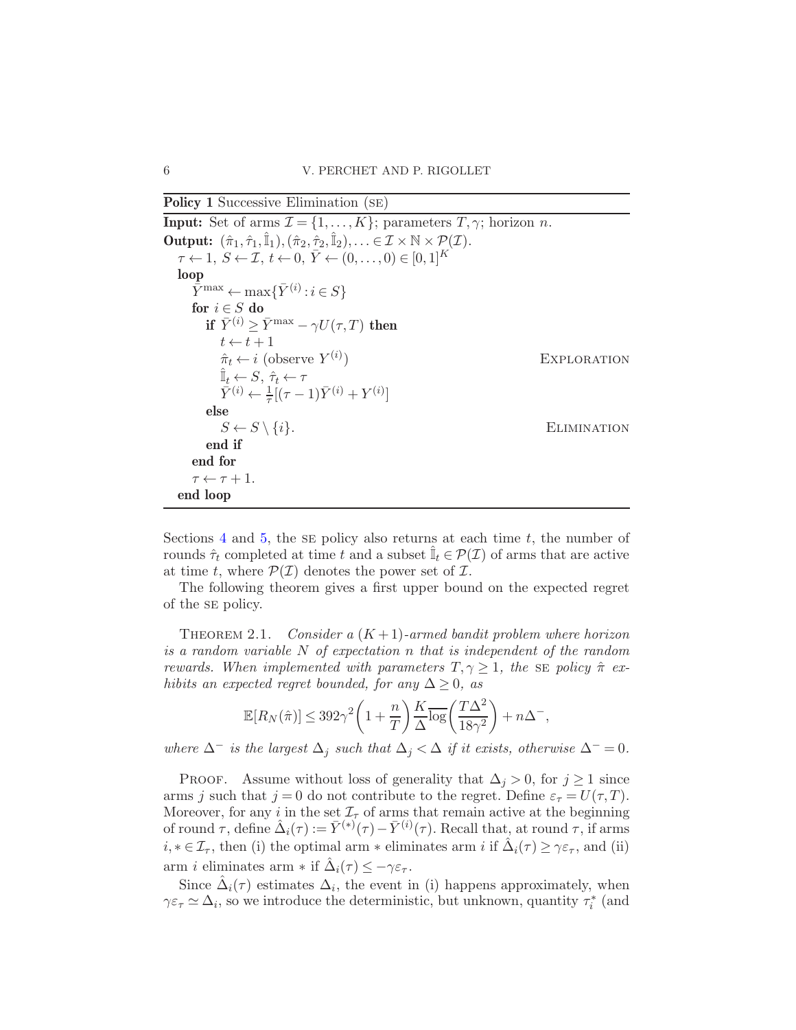<span id="page-5-0"></span>Policy 1 Successive Elimination (se)

**Input:** Set of arms  $\mathcal{I} = \{1, ..., K\}$ ; parameters  $T, \gamma$ ; horizon n. **Output:**  $(\hat{\pi}_1, \hat{\tau}_1, \hat{\mathbb{I}}_1), (\hat{\pi}_2, \hat{\tau}_2, \hat{\mathbb{I}}_2), \ldots \in \mathcal{I} \times \mathbb{N} \times \mathcal{P}(\mathcal{I}).$  $\tau \leftarrow 1, S \leftarrow \mathcal{I}, t \leftarrow 0, \bar{Y} \leftarrow (0, \ldots, 0) \in [0, 1]^K$ loop  $\bar{\bar{Y}}^{\max} \leftarrow \max{\{\bar{Y}^{(i)} : i \in S\}}$ for  $i \in S$  do if  $\overline{Y}^{(i)} \geq \overline{Y}^{\max} - \gamma U(\tau, T)$  then  $t \leftarrow t + 1$  $\hat{\pi}_t \leftarrow i$  (observe  $Y^{(i)}$ EXPLORATION  $\hat{\mathbb{I}}_t \leftarrow S, \hat{\tau}_t \leftarrow \tau$  $\bar{Y}^{(i)} \leftarrow \frac{1}{\tau} [(\tau - 1)\bar{Y}^{(i)} + Y^{(i)}]$ else  $S \leftarrow S \setminus \{i\}.$  ELIMINATION end if end for  $\tau \leftarrow \tau + 1.$ end loop

Sections [4](#page-13-0) and [5,](#page-19-0) the set policy also returns at each time  $t$ , the number of rounds  $\hat{\tau}_t$  completed at time t and a subset  $\hat{\mathbb{I}}_t \in \mathcal{P}(\mathcal{I})$  of arms that are active at time t, where  $\mathcal{P}(\mathcal{I})$  denotes the power set of  $\mathcal{I}$ .

<span id="page-5-1"></span>The following theorem gives a first upper bound on the expected regret of the se policy.

THEOREM 2.1. Consider a  $(K+1)$ -armed bandit problem where horizon is a random variable N of expectation n that is independent of the random rewards. When implemented with parameters  $T, \gamma \geq 1$ , the SE policy  $\hat{\pi}$  exhibits an expected regret bounded, for any  $\Delta \geq 0$ , as

$$
\mathbb{E}[R_N(\hat{\pi})] \le 392\gamma^2 \left(1 + \frac{n}{T}\right) \frac{K}{\Delta} \overline{\log} \left(\frac{T\Delta^2}{18\gamma^2}\right) + n\Delta^-,
$$

where  $\Delta^-$  is the largest  $\Delta_j$  such that  $\Delta_j < \Delta$  if it exists, otherwise  $\Delta^- = 0$ .

PROOF. Assume without loss of generality that  $\Delta_j > 0$ , for  $j \ge 1$  since arms j such that  $j = 0$  do not contribute to the regret. Define  $\varepsilon_{\tau} = U(\tau, T)$ . Moreover, for any i in the set  $\mathcal{I}_{\tau}$  of arms that remain active at the beginning of round  $\tau$ , define  $\hat{\Delta}_i(\tau) := \bar{Y}^{(*)}(\tau) - \bar{Y}^{(i)}(\tau)$ . Recall that, at round  $\tau$ , if arms  $i, * \in \mathcal{I}_{\tau}$ , then (i) the optimal arm  $*$  eliminates arm  $i$  if  $\hat{\Delta}_i(\tau) \geq \gamma \varepsilon_{\tau}$ , and (ii) arm *i* eliminates arm  $*$  if  $\hat{\Delta}_i(\tau) \leq -\gamma \varepsilon_{\tau}$ .

Since  $\hat{\Delta}_i(\tau)$  estimates  $\Delta_i$ , the event in (i) happens approximately, when  $\gamma \varepsilon_{\tau} \simeq \Delta_i$ , so we introduce the deterministic, but unknown, quantity  $\tau_i^*$  (and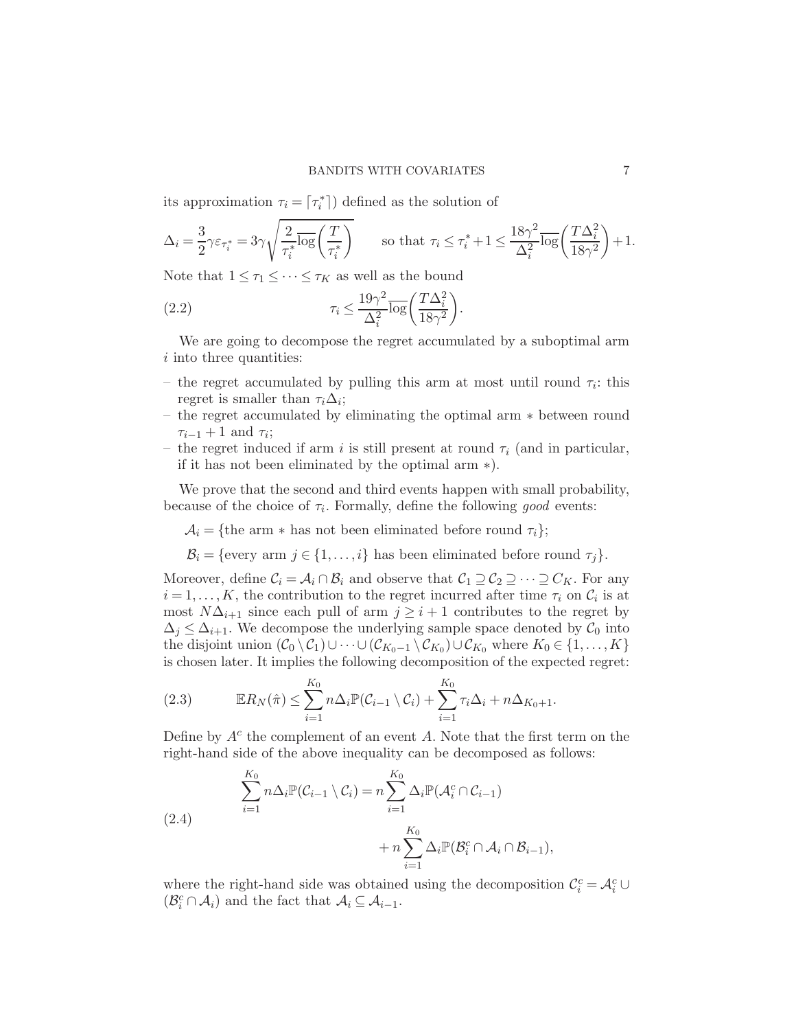its approximation  $\tau_i = \lceil \tau_i^* \rceil$ ) defined as the solution of

$$
\Delta_i = \frac{3}{2}\gamma \varepsilon_{\tau_i^*} = 3\gamma \sqrt{\frac{2}{\tau_i^* \log \left(\frac{T}{\tau_i^*}\right)}}
$$
 so that  $\tau_i \leq \tau_i^* + 1 \leq \frac{18\gamma^2}{\Delta_i^2 \log \left(\frac{T\Delta_i^2}{18\gamma^2}\right)} + 1$ .

Note that  $1 \leq \tau_1 \leq \cdots \leq \tau_K$  as well as the bound

<span id="page-6-1"></span>(2.2) 
$$
\tau_i \leq \frac{19\gamma^2}{\Delta_i^2} \overline{\log} \left( \frac{T \Delta_i^2}{18\gamma^2} \right).
$$

We are going to decompose the regret accumulated by a suboptimal arm i into three quantities:

- the regret accumulated by pulling this arm at most until round  $\tau_i$ : this regret is smaller than  $\tau_i \Delta_i$ ;
- the regret accumulated by eliminating the optimal arm ∗ between round  $\tau_{i-1}+1$  and  $\tau_i$ ;
- the regret induced if arm i is still present at round  $\tau_i$  (and in particular, if it has not been eliminated by the optimal arm ∗).

We prove that the second and third events happen with small probability, because of the choice of  $\tau_i$ . Formally, define the following good events:

- $\mathcal{A}_i = \{\text{the arm } * \text{ has not been eliminated before round } \tau_i\};$
- $\mathcal{B}_i = \{\text{every arm } j \in \{1, \ldots, i\} \text{ has been eliminated before round } \tau_i\}.$

Moreover, define  $C_i = A_i \cap B_i$  and observe that  $C_1 \supseteq C_2 \supseteq \cdots \supseteq C_K$ . For any  $i = 1, \ldots, K$ , the contribution to the regret incurred after time  $\tau_i$  on  $\mathcal{C}_i$  is at most  $N\Delta_{i+1}$  since each pull of arm  $j \geq i+1$  contributes to the regret by  $\Delta_j \leq \Delta_{i+1}$ . We decompose the underlying sample space denoted by  $\mathcal{C}_0$  into the disjoint union  $(C_0 \setminus C_1) \cup \cdots \cup (C_{K_0-1} \setminus C_{K_0}) \cup C_{K_0}$  where  $K_0 \in \{1, ..., K\}$ is chosen later. It implies the following decomposition of the expected regret:

<span id="page-6-2"></span>(2.3) 
$$
\mathbb{E}R_N(\hat{\pi}) \leq \sum_{i=1}^{K_0} n \Delta_i \mathbb{P}(\mathcal{C}_{i-1} \setminus \mathcal{C}_i) + \sum_{i=1}^{K_0} \tau_i \Delta_i + n \Delta_{K_0+1}.
$$

Define by  $A^c$  the complement of an event A. Note that the first term on the right-hand side of the above inequality can be decomposed as follows:

<span id="page-6-0"></span>(2.4)  
\n
$$
\sum_{i=1}^{K_0} n \Delta_i \mathbb{P}(\mathcal{C}_{i-1} \setminus \mathcal{C}_i) = n \sum_{i=1}^{K_0} \Delta_i \mathbb{P}(\mathcal{A}_i^c \cap \mathcal{C}_{i-1}) + n \sum_{i=1}^{K_0} \Delta_i \mathbb{P}(\mathcal{B}_i^c \cap \mathcal{A}_i \cap \mathcal{B}_{i-1}),
$$

where the right-hand side was obtained using the decomposition  $\mathcal{C}_i^c = \mathcal{A}_i^c \cup$  $(\mathcal{B}_{i}^{c} \cap \mathcal{A}_{i})$  and the fact that  $\mathcal{A}_{i} \subseteq \mathcal{A}_{i-1}$ .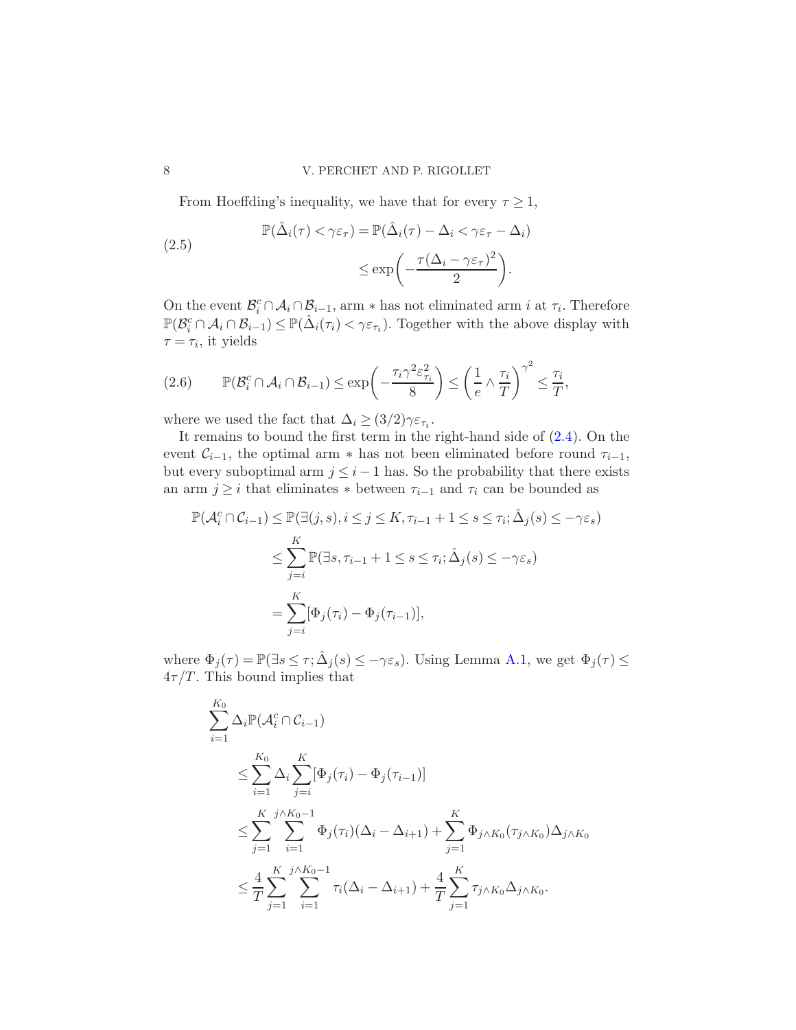<span id="page-7-1"></span>From Hoeffding's inequality, we have that for every  $\tau \geq 1$ ,

(2.5)  
\n
$$
\mathbb{P}(\hat{\Delta}_i(\tau) < \gamma \varepsilon_\tau) = \mathbb{P}(\hat{\Delta}_i(\tau) - \Delta_i < \gamma \varepsilon_\tau - \Delta_i) \\
\leq \exp\left(-\frac{\tau(\Delta_i - \gamma \varepsilon_\tau)^2}{2}\right).
$$

On the event  $\mathcal{B}_{i}^{c} \cap \mathcal{A}_{i} \cap \mathcal{B}_{i-1}$ , arm \* has not eliminated arm i at  $\tau_{i}$ . Therefore  $\mathbb{P}(\mathcal{B}_{i}^{c} \cap \mathcal{A}_{i} \cap \mathcal{B}_{i-1}) \leq \mathbb{P}(\hat{\Delta}_{i}(\tau_{i}) < \gamma \varepsilon_{\tau_{i}}).$  Together with the above display with  $\tau = \tau_i$ , it yields

<span id="page-7-0"></span>
$$
(2.6) \qquad \mathbb{P}(\mathcal{B}_{i}^{c} \cap \mathcal{A}_{i} \cap \mathcal{B}_{i-1}) \le \exp\left(-\frac{\tau_{i}\gamma^{2}\varepsilon_{\tau_{i}}^{2}}{8}\right) \le \left(\frac{1}{e} \wedge \frac{\tau_{i}}{T}\right)^{\gamma^{2}} \le \frac{\tau_{i}}{T},
$$

where we used the fact that  $\Delta_i \geq (3/2)\gamma \varepsilon_{\tau_i}$ .

It remains to bound the first term in the right-hand side of [\(2.4\)](#page-6-0). On the event  $C_{i-1}$ , the optimal arm  $*$  has not been eliminated before round  $\tau_{i-1}$ , but every suboptimal arm  $j \leq i - 1$  has. So the probability that there exists an arm  $j \geq i$  that eliminates  $*$  between  $\tau_{i-1}$  and  $\tau_i$  can be bounded as

$$
\mathbb{P}(\mathcal{A}_i^c \cap \mathcal{C}_{i-1}) \le \mathbb{P}(\exists (j, s), i \le j \le K, \tau_{i-1} + 1 \le s \le \tau_i; \hat{\Delta}_j(s) \le -\gamma \varepsilon_s)
$$
  

$$
\le \sum_{j=i}^K \mathbb{P}(\exists s, \tau_{i-1} + 1 \le s \le \tau_i; \hat{\Delta}_j(s) \le -\gamma \varepsilon_s)
$$
  

$$
= \sum_{j=i}^K [\Phi_j(\tau_i) - \Phi_j(\tau_{i-1})],
$$

where  $\Phi_j(\tau) = \mathbb{P}(\exists s \leq \tau; \hat{\Delta}_j(s) \leq -\gamma \varepsilon_s)$ . Using Lemma [A.1,](#page-27-0) we get  $\Phi_j(\tau) \leq$  $4\tau/T$ . This bound implies that

$$
\sum_{i=1}^{K_0} \Delta_i \mathbb{P}(\mathcal{A}_i^c \cap C_{i-1})
$$
\n
$$
\leq \sum_{i=1}^{K_0} \Delta_i \sum_{j=i}^K [\Phi_j(\tau_i) - \Phi_j(\tau_{i-1})]
$$
\n
$$
\leq \sum_{j=1}^K \sum_{i=1}^{j \wedge K_0 - 1} \Phi_j(\tau_i) (\Delta_i - \Delta_{i+1}) + \sum_{j=1}^K \Phi_{j \wedge K_0}(\tau_{j \wedge K_0}) \Delta_{j \wedge K_0}
$$
\n
$$
\leq \frac{4}{T} \sum_{j=1}^K \sum_{i=1}^{j \wedge K_0 - 1} \tau_i (\Delta_i - \Delta_{i+1}) + \frac{4}{T} \sum_{j=1}^K \tau_{j \wedge K_0} \Delta_{j \wedge K_0}.
$$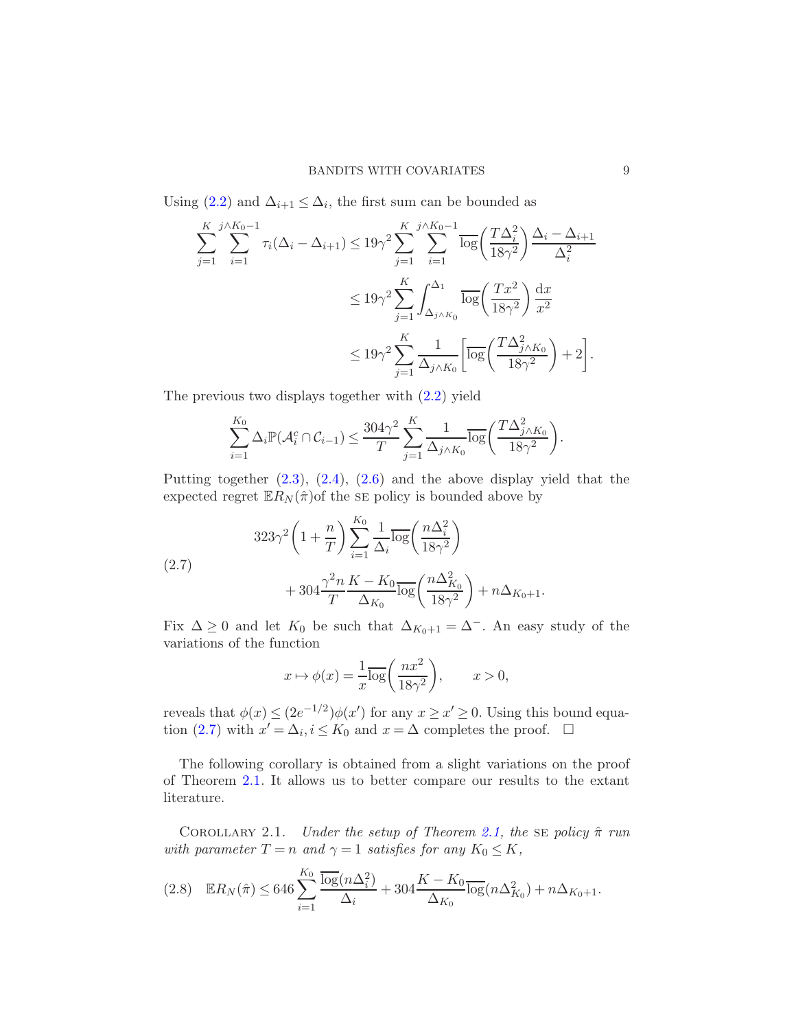Using [\(2.2\)](#page-6-1) and  $\Delta_{i+1} \leq \Delta_i$ , the first sum can be bounded as

$$
\sum_{j=1}^{K} \sum_{i=1}^{j \wedge K_0 - 1} \tau_i(\Delta_i - \Delta_{i+1}) \le 19\gamma^2 \sum_{j=1}^{K} \sum_{i=1}^{j \wedge K_0 - 1} \overline{\log} \left( \frac{T \Delta_i^2}{18\gamma^2} \right) \frac{\Delta_i - \Delta_{i+1}}{\Delta_i^2}
$$
  

$$
\le 19\gamma^2 \sum_{j=1}^{K} \int_{\Delta_{j \wedge K_0}}^{\Delta_1} \overline{\log} \left( \frac{T x^2}{18\gamma^2} \right) \frac{dx}{x^2}
$$
  

$$
\le 19\gamma^2 \sum_{j=1}^{K} \frac{1}{\Delta_{j \wedge K_0}} \left[ \overline{\log} \left( \frac{T \Delta_{j \wedge K_0}^2}{18\gamma^2} \right) + 2 \right].
$$

The previous two displays together with [\(2.2\)](#page-6-1) yield

$$
\sum_{i=1}^{K_0} \Delta_i \mathbb{P}(\mathcal{A}_i^c \cap \mathcal{C}_{i-1}) \le \frac{304\gamma^2}{T} \sum_{j=1}^K \frac{1}{\Delta_{j \wedge K_0}} \overline{\log} \left( \frac{T \Delta_{j \wedge K_0}^2}{18\gamma^2} \right).
$$

Putting together  $(2.3)$ ,  $(2.4)$ ,  $(2.6)$  and the above display yield that the expected regret  $\mathbb{E}R_N(\hat{\pi})$  of the set policy is bounded above by

<span id="page-8-0"></span>(2.7)  
\n
$$
323\gamma^{2} \left(1 + \frac{n}{T}\right) \sum_{i=1}^{K_{0}} \frac{1}{\Delta_{i}} \overline{\log} \left(\frac{n\Delta_{i}^{2}}{18\gamma^{2}}\right) + 304 \frac{\gamma^{2} n}{T} \frac{K - K_{0}}{\Delta_{K_{0}}} \overline{\log} \left(\frac{n\Delta_{K_{0}}^{2}}{18\gamma^{2}}\right) + n\Delta_{K_{0}+1}.
$$

Fix  $\Delta \geq 0$  and let  $K_0$  be such that  $\Delta_{K_0+1} = \Delta^-$ . An easy study of the variations of the function

$$
x \mapsto \phi(x) = \frac{1}{x} \overline{\log} \left( \frac{n x^2}{18\gamma^2} \right), \qquad x > 0,
$$

reveals that  $\phi(x) \leq (2e^{-1/2})\phi(x')$  for any  $x \geq x' \geq 0$ . Using this bound equa-tion [\(2.7\)](#page-8-0) with  $x' = \Delta_i, i \leq K_0$  and  $x = \Delta$  completes the proof.  $\Box$ 

<span id="page-8-2"></span>The following corollary is obtained from a slight variations on the proof of Theorem [2.1.](#page-5-1) It allows us to better compare our results to the extant literature.

COROLLARY 2.1. Under the setup of Theorem [2.1,](#page-5-1) the SE policy  $\hat{\pi}$  run with parameter  $T = n$  and  $\gamma = 1$  satisfies for any  $K_0 \leq K$ ,

<span id="page-8-1"></span>
$$
(2.8) \quad \mathbb{E}R_N(\hat{\pi}) \le 646 \sum_{i=1}^{K_0} \frac{\overline{\log}(n\Delta_i^2)}{\Delta_i} + 304 \frac{K - K_0}{\Delta_{K_0}} \overline{\log}(n\Delta_{K_0}^2) + n\Delta_{K_0+1}.
$$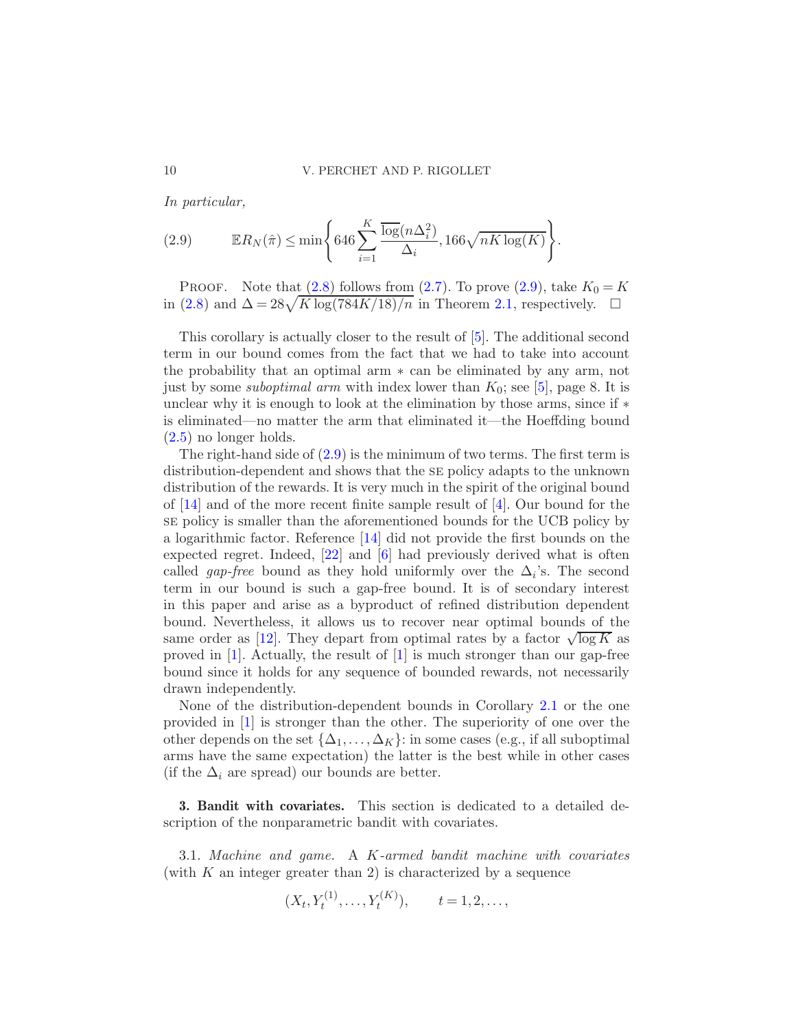In particular,

<span id="page-9-0"></span>(2.9) 
$$
\mathbb{E}R_N(\hat{\pi}) \le \min\left\{646\sum_{i=1}^K \frac{\overline{\log}(n\Delta_i^2)}{\Delta_i}, 166\sqrt{nK\log(K)}\right\}.
$$

PROOF. Note that  $(2.8)$  follows from  $(2.7)$ . To prove  $(2.9)$ , take  $K_0 = K$ in [\(2.8\)](#page-8-1) and  $\Delta = 28\sqrt{K \log(784K/18)/n}$  in Theorem [2.1,](#page-5-1) respectively. □

This corollary is actually closer to the result of [\[5](#page-28-12)]. The additional second term in our bound comes from the fact that we had to take into account the probability that an optimal arm ∗ can be eliminated by any arm, not just by some *suboptimal arm* with index lower than  $K_0$ ; see [\[5](#page-28-12)], page 8. It is unclear why it is enough to look at the elimination by those arms, since if  $*$ is eliminated—no matter the arm that eliminated it—the Hoeffding bound [\(2.5\)](#page-7-1) no longer holds.

The right-hand side of  $(2.9)$  is the minimum of two terms. The first term is distribution-dependent and shows that the se policy adapts to the unknown distribution of the rewards. It is very much in the spirit of the original bound of  $[14]$  and of the more recent finite sample result of  $[4]$ . Our bound for the se policy is smaller than the aforementioned bounds for the UCB policy by a logarithmic factor. Reference [\[14\]](#page-28-1) did not provide the first bounds on the expected regret. Indeed, [\[22\]](#page-29-4) and [\[6\]](#page-28-14) had previously derived what is often called *gap-free* bound as they hold uniformly over the  $\Delta_i$ 's. The second term in our bound is such a gap-free bound. It is of secondary interest in this paper and arise as a byproduct of refined distribution dependent bound. Nevertheless, it allows us to recover near optimal bounds of the same order as [\[12](#page-28-15)]. They depart from optimal rates by a factor  $\sqrt{\log K}$  as proved in  $[1]$ . Actually, the result of  $[1]$  is much stronger than our gap-free bound since it holds for any sequence of bounded rewards, not necessarily drawn independently.

None of the distribution-dependent bounds in Corollary [2.1](#page-8-2) or the one provided in [\[1](#page-28-13)] is stronger than the other. The superiority of one over the other depends on the set  $\{\Delta_1, \ldots, \Delta_K\}$ : in some cases (e.g., if all suboptimal arms have the same expectation) the latter is the best while in other cases (if the  $\Delta_i$  are spread) our bounds are better.

<span id="page-9-1"></span>3. Bandit with covariates. This section is dedicated to a detailed description of the nonparametric bandit with covariates.

3.1. Machine and game. A K-armed bandit machine with covariates (with  $K$  an integer greater than 2) is characterized by a sequence

$$
(X_t, Y_t^{(1)}, \ldots, Y_t^{(K)}), \qquad t = 1, 2, \ldots,
$$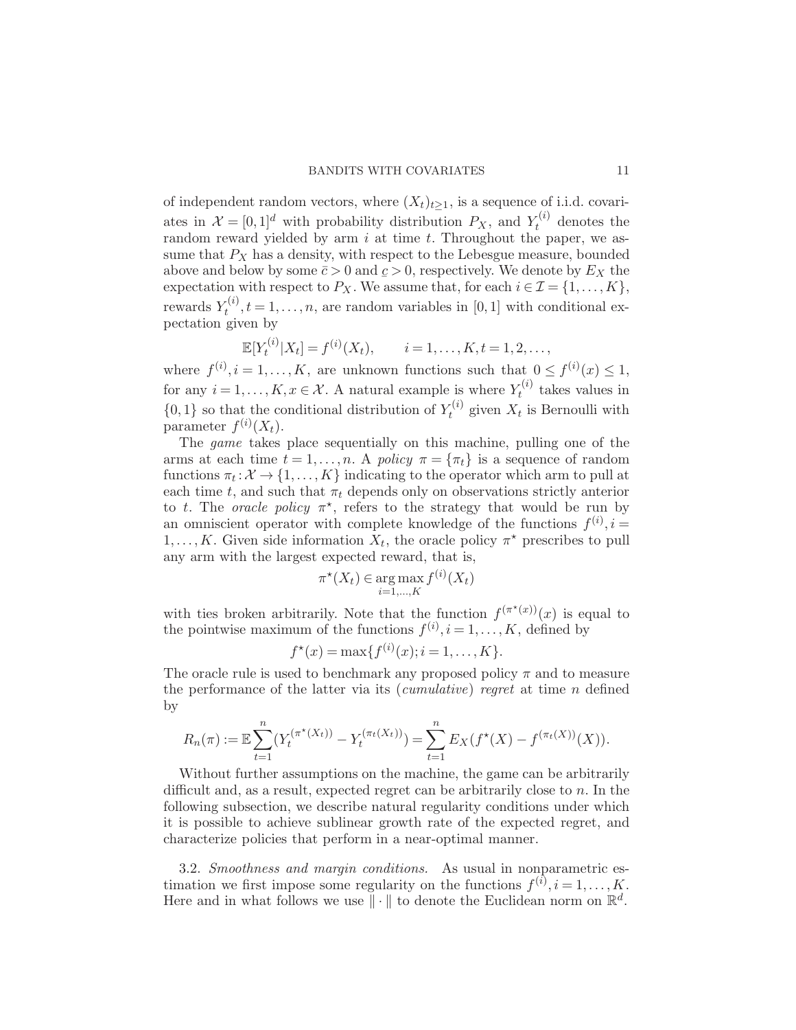of independent random vectors, where  $(X_t)_{t\geq 1}$ , is a sequence of i.i.d. covariates in  $\mathcal{X} = [0,1]^d$  with probability distribution  $P_X$ , and  $Y_t^{(i)}$  denotes the random reward yielded by arm  $i$  at time  $t$ . Throughout the paper, we assume that  $P_X$  has a density, with respect to the Lebesgue measure, bounded above and below by some  $\bar{c} > 0$  and  $c > 0$ , respectively. We denote by  $E_X$  the expectation with respect to  $P_X$ . We assume that, for each  $i \in \mathcal{I} = \{1, ..., K\}$ , rewards  $Y_t^{(i)}$  $t^{(i)}(t)$ ,  $t = 1, \ldots, n$ , are random variables in [0, 1] with conditional expectation given by

$$
\mathbb{E}[Y_t^{(i)}|X_t] = f^{(i)}(X_t), \qquad i = 1, \dots, K, t = 1, 2, \dots,
$$

where  $f^{(i)}$ ,  $i = 1, ..., K$ , are unknown functions such that  $0 \le f^{(i)}(x) \le 1$ , for any  $i = 1, ..., K, x \in \mathcal{X}$ . A natural example is where  $Y_t^{(i)}$  $t^{(i)}$  takes values in  $\{0,1\}$  so that the conditional distribution of  $Y_t^{(i)}$  $t_t^{(t)}$  given  $X_t$  is Bernoulli with parameter  $f^{(i)}(X_t)$ .

The game takes place sequentially on this machine, pulling one of the arms at each time  $t = 1, \ldots, n$ . A policy  $\pi = {\pi_t}$  is a sequence of random functions  $\pi_t: \mathcal{X} \to \{1, \ldots, K\}$  indicating to the operator which arm to pull at each time t, and such that  $\pi_t$  depends only on observations strictly anterior to t. The *oracle policy*  $\pi^*$ , refers to the strategy that would be run by an omniscient operator with complete knowledge of the functions  $f^{(i)}$ ,  $i =$  $1, \ldots, K$ . Given side information  $X_t$ , the oracle policy  $\pi^*$  prescribes to pull any arm with the largest expected reward, that is,

$$
\pi^*(X_t) \in \underset{i=1,\dots,K}{\arg\max} f^{(i)}(X_t)
$$

with ties broken arbitrarily. Note that the function  $f^{(\pi^*(x))}(x)$  is equal to the pointwise maximum of the functions  $f^{(i)}$ ,  $i = 1, ..., K$ , defined by

$$
f^{\star}(x) = \max\{f^{(i)}(x); i = 1, ..., K\}.
$$

The oracle rule is used to benchmark any proposed policy  $\pi$  and to measure the performance of the latter via its (*cumulative*) regret at time n defined by

$$
R_n(\pi) := \mathbb{E} \sum_{t=1}^n (Y_t^{(\pi^*(X_t))} - Y_t^{(\pi_t(X_t))}) = \sum_{t=1}^n E_X(f^*(X) - f^{(\pi_t(X))}(X)).
$$

Without further assumptions on the machine, the game can be arbitrarily difficult and, as a result, expected regret can be arbitrarily close to n. In the following subsection, we describe natural regularity conditions under which it is possible to achieve sublinear growth rate of the expected regret, and characterize policies that perform in a near-optimal manner.

3.2. Smoothness and margin conditions. As usual in nonparametric estimation we first impose some regularity on the functions  $f^{(i)}$ ,  $i = 1, ..., K$ . Here and in what follows we use  $\|\cdot\|$  to denote the Euclidean norm on  $\mathbb{R}^d$ .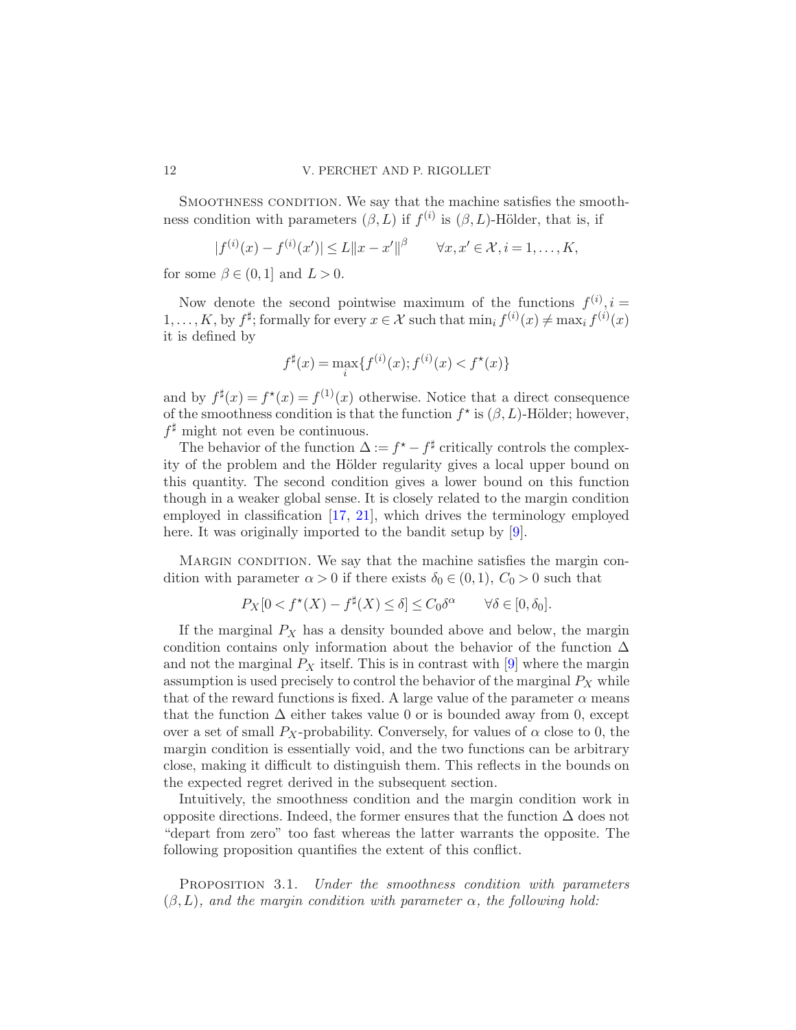#### 12 V. PERCHET AND P. RIGOLLET

SMOOTHNESS CONDITION. We say that the machine satisfies the smoothness condition with parameters  $(\beta, L)$  if  $f^{(i)}$  is  $(\beta, L)$ -Hölder, that is, if

$$
|f^{(i)}(x) - f^{(i)}(x')| \le L \|x - x'\|^{\beta} \qquad \forall x, x' \in \mathcal{X}, i = 1, ..., K,
$$

for some  $\beta \in (0,1]$  and  $L > 0$ .

Now denote the second pointwise maximum of the functions  $f^{(i)}$ ,  $i =$ 1,..., K, by  $f^{\sharp}$ ; formally for every  $x \in \mathcal{X}$  such that  $\min_i f^{(i)}(x) \neq \max_i f^{(i)}(x)$ it is defined by

$$
f^{\sharp}(x) = \max_{i} \{ f^{(i)}(x); f^{(i)}(x) < f^{\star}(x) \}
$$

and by  $f^{\sharp}(x) = f^{\star}(x) = f^{(1)}(x)$  otherwise. Notice that a direct consequence of the smoothness condition is that the function  $f^*$  is  $(\beta, L)$ -Hölder; however,  $f^{\sharp}$  might not even be continuous.

The behavior of the function  $\Delta := f^* - f^{\sharp}$  critically controls the complexity of the problem and the Hölder regularity gives a local upper bound on this quantity. The second condition gives a lower bound on this function though in a weaker global sense. It is closely related to the margin condition employed in classification [\[17](#page-28-16), [21\]](#page-29-5), which drives the terminology employed here. It was originally imported to the bandit setup by [\[9\]](#page-28-3).

MARGIN CONDITION. We say that the machine satisfies the margin condition with parameter  $\alpha > 0$  if there exists  $\delta_0 \in (0,1)$ ,  $C_0 > 0$  such that

$$
P_X[0 < f^\star(X) - f^\sharp(X) \le \delta] \le C_0 \delta^\alpha \qquad \forall \delta \in [0, \delta_0].
$$

If the marginal  $P_X$  has a density bounded above and below, the margin condition contains only information about the behavior of the function  $\Delta$ and not the marginal  $P_X$  itself. This is in contrast with [\[9](#page-28-3)] where the margin assumption is used precisely to control the behavior of the marginal  $P_X$  while that of the reward functions is fixed. A large value of the parameter  $\alpha$  means that the function  $\Delta$  either takes value 0 or is bounded away from 0, except over a set of small  $P_X$ -probability. Conversely, for values of  $\alpha$  close to 0, the margin condition is essentially void, and the two functions can be arbitrary close, making it difficult to distinguish them. This reflects in the bounds on the expected regret derived in the subsequent section.

Intuitively, the smoothness condition and the margin condition work in opposite directions. Indeed, the former ensures that the function  $\Delta$  does not "depart from zero" too fast whereas the latter warrants the opposite. The following proposition quantifies the extent of this conflict.

<span id="page-11-0"></span>PROPOSITION 3.1. Under the smoothness condition with parameters  $(\beta, L)$ , and the margin condition with parameter  $\alpha$ , the following hold: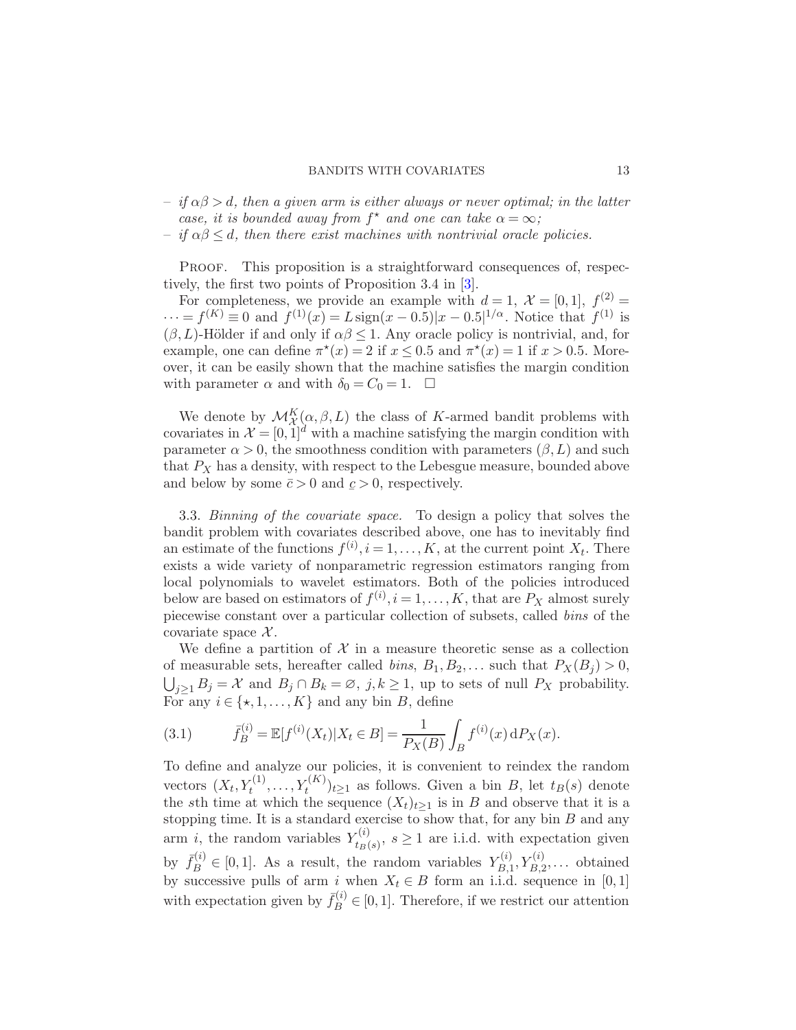#### BANDITS WITH COVARIATES 13

- $-$  if  $\alpha\beta > d$ , then a given arm is either always or never optimal; in the latter case, it is bounded away from  $f^*$  and one can take  $\alpha = \infty$ ;
- $-$  if  $\alpha\beta \leq d$ , then there exist machines with nontrivial oracle policies.

PROOF. This proposition is a straightforward consequences of, respectively, the first two points of Proposition 3.4 in [\[3\]](#page-28-17).

For completeness, we provide an example with  $d=1$ ,  $\mathcal{X} = [0,1]$ ,  $f^{(2)} =$  $\cdots = f^{(K)} \equiv 0$  and  $f^{(1)}(x) = L \operatorname{sign}(x - 0.5) |x - 0.5|^{1/\alpha}$ . Notice that  $f^{(1)}$  is  $(\beta, L)$ -Hölder if and only if  $\alpha\beta \leq 1$ . Any oracle policy is nontrivial, and, for example, one can define  $\pi^*(x) = 2$  if  $x \le 0.5$  and  $\pi^*(x) = 1$  if  $x > 0.5$ . Moreover, it can be easily shown that the machine satisfies the margin condition with parameter  $\alpha$  and with  $\delta_0 = C_0 = 1$ .  $\Box$ 

We denote by  $\mathcal{M}_{\mathcal{X}}^K(\alpha,\beta,L)$  the class of K-armed bandit problems with covariates in  $\mathcal{X} = [0,1]^d$  with a machine satisfying the margin condition with parameter  $\alpha > 0$ , the smoothness condition with parameters  $(\beta, L)$  and such that  $P_X$  has a density, with respect to the Lebesgue measure, bounded above and below by some  $\bar{c} > 0$  and  $\bar{c} > 0$ , respectively.

<span id="page-12-0"></span>3.3. Binning of the covariate space. To design a policy that solves the bandit problem with covariates described above, one has to inevitably find an estimate of the functions  $f^{(i)}$ ,  $i = 1, ..., K$ , at the current point  $X_t$ . There exists a wide variety of nonparametric regression estimators ranging from local polynomials to wavelet estimators. Both of the policies introduced below are based on estimators of  $f^{(i)}$ ,  $i = 1, ..., K$ , that are  $P_X$  almost surely piecewise constant over a particular collection of subsets, called bins of the covariate space  $\mathcal{X}$ .

We define a partition of  $\mathcal X$  in a measure theoretic sense as a collection of measurable sets, hereafter called bins,  $B_1, B_2, \ldots$  such that  $P_X(B_j) > 0$ ,  $\bigcup_{j\geq 1} B_j = \mathcal{X}$  and  $B_j \cap B_k = \emptyset$ ,  $j, k \geq 1$ , up to sets of null  $P_X$  probability. For any  $i \in \{*, 1, \ldots, K\}$  and any bin B, define

<span id="page-12-1"></span>(3.1) 
$$
\bar{f}_B^{(i)} = \mathbb{E}[f^{(i)}(X_t)|X_t \in B] = \frac{1}{P_X(B)} \int_B f^{(i)}(x) dP_X(x).
$$

To define and analyze our policies, it is convenient to reindex the random vectors  $(X_t, Y_t^{(1)}, \ldots, Y_t^{(K)})_{t \geq 1}$  as follows. Given a bin B, let  $t_B(s)$  denote the sth time at which the sequence  $(X_t)_{t\geq 1}$  is in B and observe that it is a stopping time. It is a standard exercise to show that, for any bin  $B$  and any arm *i*, the random variables  $Y_{t_n}^{(i)}$  $t_{B(s)}^{(i)}$ ,  $s \ge 1$  are i.i.d. with expectation given by  $\bar{f}_B^{(i)} \in [0,1]$ . As a result, the random variables  $Y_{B,1}^{(i)}$  $Y_{B,1}^{(i)}, Y_{B,2}^{(i)}, \dots$  obtained by successive pulls of arm i when  $X_t \in B$  form an i.i.d. sequence in [0, 1] with expectation given by  $\bar{f}_B^{(i)} \in [0,1]$ . Therefore, if we restrict our attention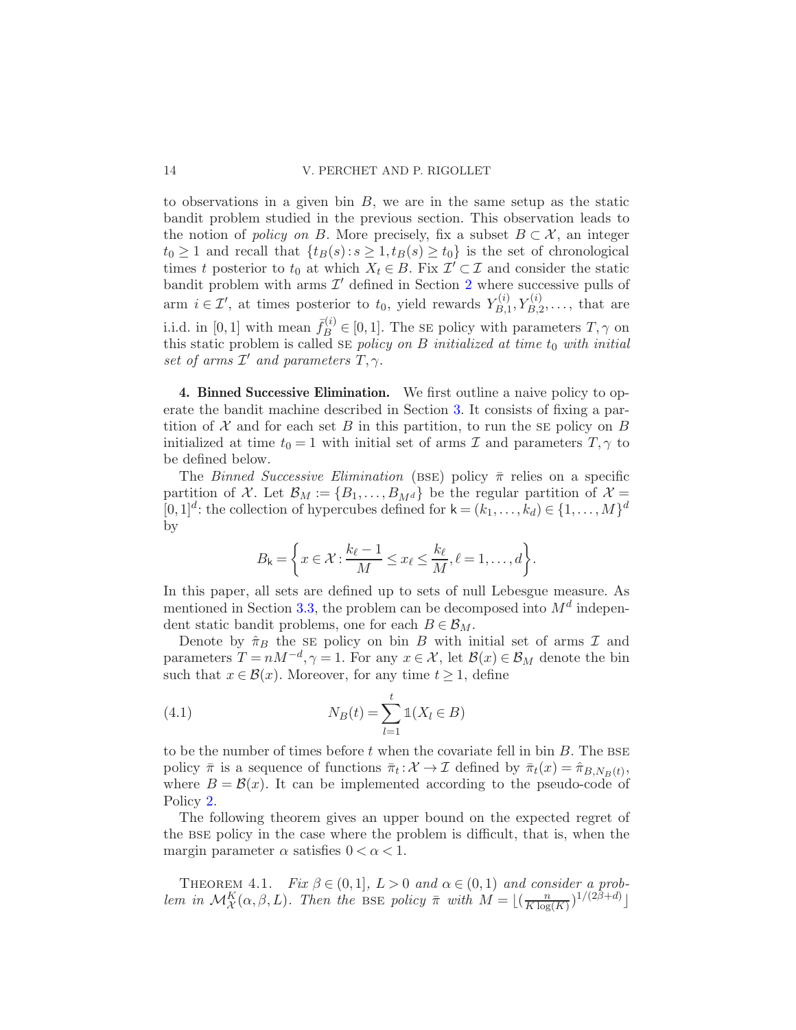to observations in a given bin  $B$ , we are in the same setup as the static bandit problem studied in the previous section. This observation leads to the notion of *policy on B*. More precisely, fix a subset  $B \subset \mathcal{X}$ , an integer  $t_0 \geq 1$  and recall that  $\{t_B(s) : s \geq 1, t_B(s) \geq t_0\}$  is the set of chronological times t posterior to  $t_0$  at which  $X_t \in B$ . Fix  $\mathcal{I}' \subset \mathcal{I}$  and consider the static bandit problem with arms  $\mathcal{I}'$  defined in Section [2](#page-3-0) where successive pulls of arm  $i \in \mathcal{I}'$ , at times posterior to  $t_0$ , yield rewards  $Y_{B,1}^{(i)}$  $Y_{B,1}^{(i)}, Y_{B,2}^{(i)}, \ldots,$  that are i.i.d. in [0, 1] with mean  $\bar{f}_B^{(i)} \in [0,1]$ . The se policy with parameters  $T, \gamma$  on this static problem is called SE *policy on B initialized at time*  $t_0$  *with initial* set of arms  $\mathcal{I}'$  and parameters  $T, \gamma$ .

<span id="page-13-0"></span>4. Binned Successive Elimination. We first outline a naive policy to operate the bandit machine described in Section [3.](#page-9-1) It consists of fixing a partition of  $\mathcal X$  and for each set B in this partition, to run the SE policy on B initialized at time  $t_0 = 1$  with initial set of arms  $\mathcal I$  and parameters  $T, \gamma$  to be defined below.

The Binned Successive Elimination (BSE) policy  $\bar{\pi}$  relies on a specific partition of X. Let  $\mathcal{B}_M := \{B_1, \ldots, B_{M^d}\}\$ be the regular partition of  $\mathcal{X} =$  $[0,1]^d$ : the collection of hypercubes defined for  $\mathsf{k} = (k_1,\ldots,k_d) \in \{1,\ldots,M\}^d$ by

$$
B_{\mathsf{k}} = \left\{ x \in \mathcal{X} : \frac{k_{\ell} - 1}{M} \le x_{\ell} \le \frac{k_{\ell}}{M}, \ell = 1, \ldots, d \right\}.
$$

In this paper, all sets are defined up to sets of null Lebesgue measure. As mentioned in Section [3.3,](#page-12-0) the problem can be decomposed into  $M<sup>d</sup>$  independent static bandit problems, one for each  $B \in \mathcal{B}_M$ .

Denote by  $\hat{\pi}_B$  the se policy on bin B with initial set of arms I and parameters  $T = nM^{-d}, \gamma = 1$ . For any  $x \in \mathcal{X}$ , let  $\mathcal{B}(x) \in \mathcal{B}_M$  denote the bin such that  $x \in \mathcal{B}(x)$ . Moreover, for any time  $t \geq 1$ , define

<span id="page-13-2"></span>(4.1) 
$$
N_B(t) = \sum_{l=1}^{t} \mathbb{1}(X_l \in B)
$$

to be the number of times before t when the covariate fell in bin  $B$ . The BSE policy  $\bar{\pi}$  is a sequence of functions  $\bar{\pi}_t : \mathcal{X} \to \mathcal{I}$  defined by  $\bar{\pi}_t(x) = \hat{\pi}_{B,N_B(t)},$ where  $B = \mathcal{B}(x)$ . It can be implemented according to the pseudo-code of Policy [2.](#page-14-0)

The following theorem gives an upper bound on the expected regret of the bse policy in the case where the problem is difficult, that is, when the margin parameter  $\alpha$  satisfies  $0 < \alpha < 1$ .

<span id="page-13-1"></span>THEOREM 4.1. Fix  $\beta \in (0,1], L > 0$  and  $\alpha \in (0,1)$  and consider a problem in  $\mathcal{M}_{\mathcal{X}}^K(\alpha,\beta,L)$ . Then the BSE policy  $\bar{\pi}$  with  $M = \lfloor (\frac{n}{K \log n}) \rfloor$  $\frac{n}{K \log(K)}$ <sup>1/(2β+d)</sup>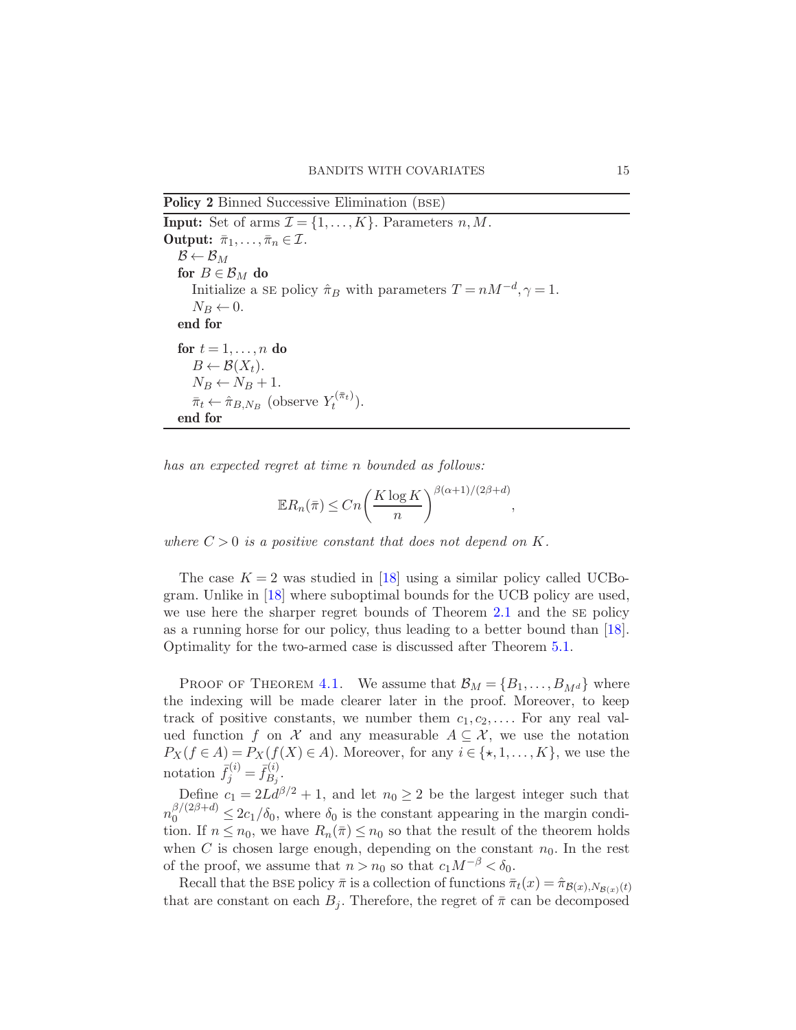<span id="page-14-0"></span>Policy 2 Binned Successive Elimination (BSE)

**Input:** Set of arms  $\mathcal{I} = \{1, ..., K\}$ . Parameters n, M. **Output:**  $\bar{\pi}_1, \ldots, \bar{\pi}_n \in \mathcal{I}$ .  $\mathcal{B} \leftarrow \mathcal{B}_M$ for  $B \in \mathcal{B}_M$  do Initialize a SE policy  $\hat{\pi}_B$  with parameters  $T = nM^{-d}, \gamma = 1$ .  $N_B \leftarrow 0$ . end for for  $t = 1, \ldots, n$  do  $B \leftarrow \mathcal{B}(X_t).$  $N_B \leftarrow N_B + 1.$  $\bar{\pi}_t \leftarrow \hat{\pi}_{B,N_B}$  (observe  $Y_t^{(\bar{\pi}_t)}$  $\binom{n(t)}{t}$ . end for

has an expected regret at time n bounded as follows:

$$
\mathbb{E}R_n(\bar{\pi}) \le Cn\bigg(\frac{K\log K}{n}\bigg)^{\beta(\alpha+1)/(2\beta+d)},
$$

where  $C > 0$  is a positive constant that does not depend on K.

The case  $K = 2$  was studied in [\[18](#page-28-5)] using a similar policy called UCBogram. Unlike in [\[18\]](#page-28-5) where suboptimal bounds for the UCB policy are used, we use here the sharper regret bounds of Theorem [2.1](#page-5-1) and the se policy as a running horse for our policy, thus leading to a better bound than [\[18](#page-28-5)]. Optimality for the two-armed case is discussed after Theorem [5.1.](#page-21-0)

PROOF OF THEOREM [4.1.](#page-13-1) We assume that  $\mathcal{B}_M = \{B_1, \ldots, B_{M^d}\}\$  where the indexing will be made clearer later in the proof. Moreover, to keep track of positive constants, we number them  $c_1, c_2, \ldots$  For any real valued function f on X and any measurable  $A \subseteq \mathcal{X}$ , we use the notation  $P_X(f \in A) = P_X(f(X) \in A)$ . Moreover, for any  $i \in \{\star, 1, \ldots, K\}$ , we use the notation  $\bar{f}_j^{(i)} = \bar{f}_{B_j}^{(i)}$  $B_j$  .

Define  $c_1 = 2L\dot{d}^{\beta/2} + 1$ , and let  $n_0 \geq 2$  be the largest integer such that  $n_0^{\beta/(2\beta+d)} \leq 2c_1/\delta_0$ , where  $\delta_0$  is the constant appearing in the margin condition. If  $n \leq n_0$ , we have  $R_n(\overline{\pi}) \leq n_0$  so that the result of the theorem holds when  $C$  is chosen large enough, depending on the constant  $n_0$ . In the rest of the proof, we assume that  $n > n_0$  so that  $c_1 M^{-\beta} < \delta_0$ .

Recall that the BSE policy  $\bar{\pi}$  is a collection of functions  $\bar{\pi}_t(x) = \hat{\pi}_{\mathcal{B}(x),N_{\mathcal{B}(x)}(t)}$ that are constant on each  $B_i$ . Therefore, the regret of  $\bar{\pi}$  can be decomposed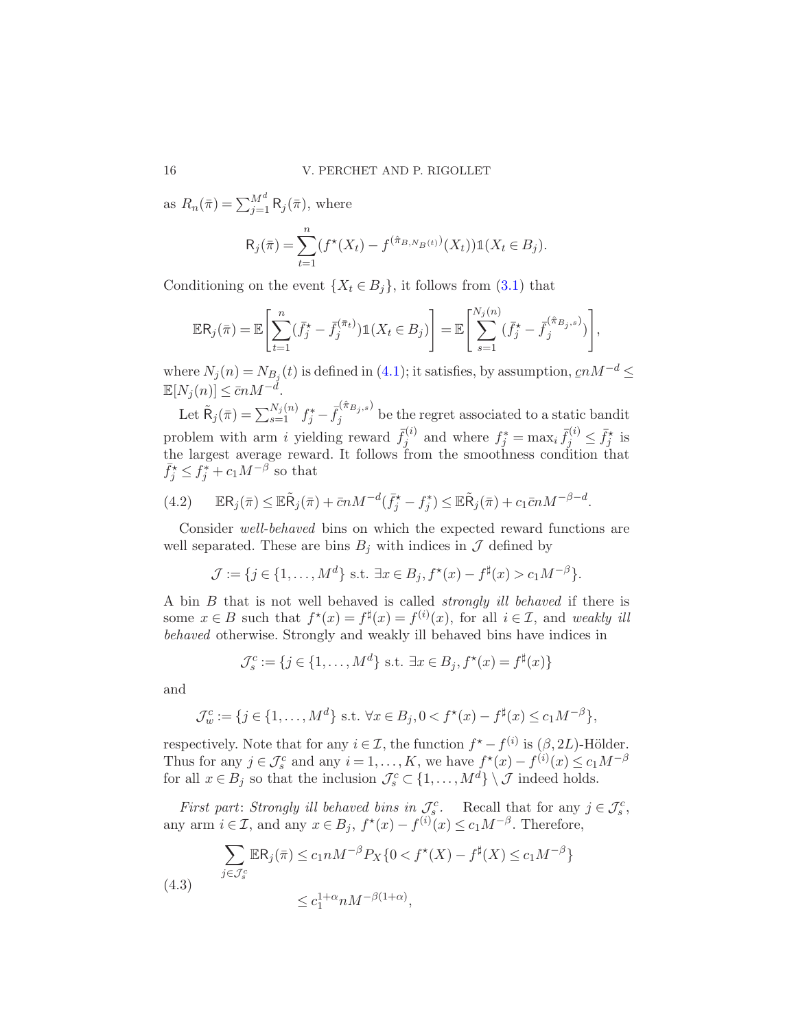as  $R_n(\bar{\pi}) = \sum_{j=1}^{M^d} R_j(\bar{\pi}),$  where

$$
R_j(\bar{\pi}) = \sum_{t=1}^n (f^*(X_t) - f^{(\hat{\pi}_{B,N_B(t)})}(X_t)) \mathbb{1}(X_t \in B_j).
$$

Conditioning on the event  $\{X_t \in B_i\}$ , it follows from  $(3.1)$  that

$$
\mathbb{E}\mathsf{R}_{j}(\bar{\pi}) = \mathbb{E}\left[\sum_{t=1}^{n}(\bar{f}_{j}^{\star}-\bar{f}_{j}^{(\bar{\pi}_{t})})\mathbb{1}(X_{t}\in B_{j})\right] = \mathbb{E}\left[\sum_{s=1}^{N_{j}(n)}(\bar{f}_{j}^{\star}-\bar{f}_{j}^{(\hat{\pi}_{B_{j},s})})\right],
$$

where  $N_j(n) = N_{B_j}(t)$  is defined in [\(4.1\)](#page-13-2); it satisfies, by assumption,  $\epsilon n M^{-d} \leq$  $\mathbb{E}[N_j(n)] \leq \bar{c}n M^{-\bar{d}}.$ 

Let  $\tilde{R}_j(\bar{\pi}) = \sum_{s=1}^{N_j(n)} f_j^* - \bar{f}_j^{(\hat{\pi}_{B_j,s})}$  $j_j^{(s_1, s_2, s_3)}$  be the regret associated to a static bandit problem with arm i yielding reward  $\bar{f}_i^{(i)}$  $f_j^{(i)}$  and where  $f_j^* = \max_i \bar{f}_j^{(i)} \leq \bar{f}_j^*$  is the largest average reward. It follows from the smoothness condition that  $\bar{f}_j^* \leq f_j^* + c_1 M^{-\beta}$  so that

<span id="page-15-0"></span>(4.2) 
$$
\mathbb{E} \mathsf{R}_j(\bar{\pi}) \leq \mathbb{E} \tilde{\mathsf{R}}_j(\bar{\pi}) + \bar{c} n M^{-d} (\bar{f}_j^* - f_j^*) \leq \mathbb{E} \tilde{\mathsf{R}}_j(\bar{\pi}) + c_1 \bar{c} n M^{-\beta - d}.
$$

Consider well-behaved bins on which the expected reward functions are well separated. These are bins  $B_i$  with indices in  $\mathcal J$  defined by

$$
\mathcal{J} := \{ j \in \{1, \dots, M^d\} \text{ s.t. } \exists x \in B_j, f^*(x) - f^{\sharp}(x) > c_1 M^{-\beta} \}.
$$

A bin B that is not well behaved is called strongly ill behaved if there is some  $x \in B$  such that  $f^*(x) = f^{\sharp}(x) = f^{(i)}(x)$ , for all  $i \in \mathcal{I}$ , and weakly ill behaved otherwise. Strongly and weakly ill behaved bins have indices in

$$
\mathcal{J}_s^c := \{ j \in \{1, \dots, M^d\} \text{ s.t. } \exists x \in B_j, f^*(x) = f^{\sharp}(x) \}
$$

and

$$
\mathcal{J}^c_w := \{ j \in \{1, \dots, M^d\} \text{ s.t. } \forall x \in B_j, 0 < f^\star(x) - f^\sharp(x) \le c_1 M^{-\beta} \},
$$

respectively. Note that for any  $i \in \mathcal{I}$ , the function  $f^* - f^{(i)}$  is  $(\beta, 2L)$ -Hölder. Thus for any  $j \in \mathcal{J}_s^c$  and any  $i = 1, ..., K$ , we have  $f^*(x) - f^{(i)}(x) \le c_1 M^{-\beta}$ for all  $x \in B_j$  so that the inclusion  $\mathcal{J}_s^c \subset \{1, \ldots, M^d\} \setminus \mathcal{J}$  indeed holds.

First part: Strongly ill behaved bins in  $\mathcal{J}_s^c$ . Recall that for any  $j \in \mathcal{J}_s^c$ , any arm  $i \in \mathcal{I}$ , and any  $x \in B_j$ ,  $f^*(x) - f^{(i)}(x) \le c_1 M^{-\beta}$ . Therefore,

<span id="page-15-1"></span>(4.3)  

$$
\sum_{j \in \mathcal{J}_s^c} \mathbb{E} \mathsf{R}_j(\bar{\pi}) \le c_1 n M^{-\beta} P_X \{0 < f^*(X) - f^{\sharp}(X) \le c_1 M^{-\beta}\}
$$

$$
\le c_1^{1+\alpha} n M^{-\beta(1+\alpha)},
$$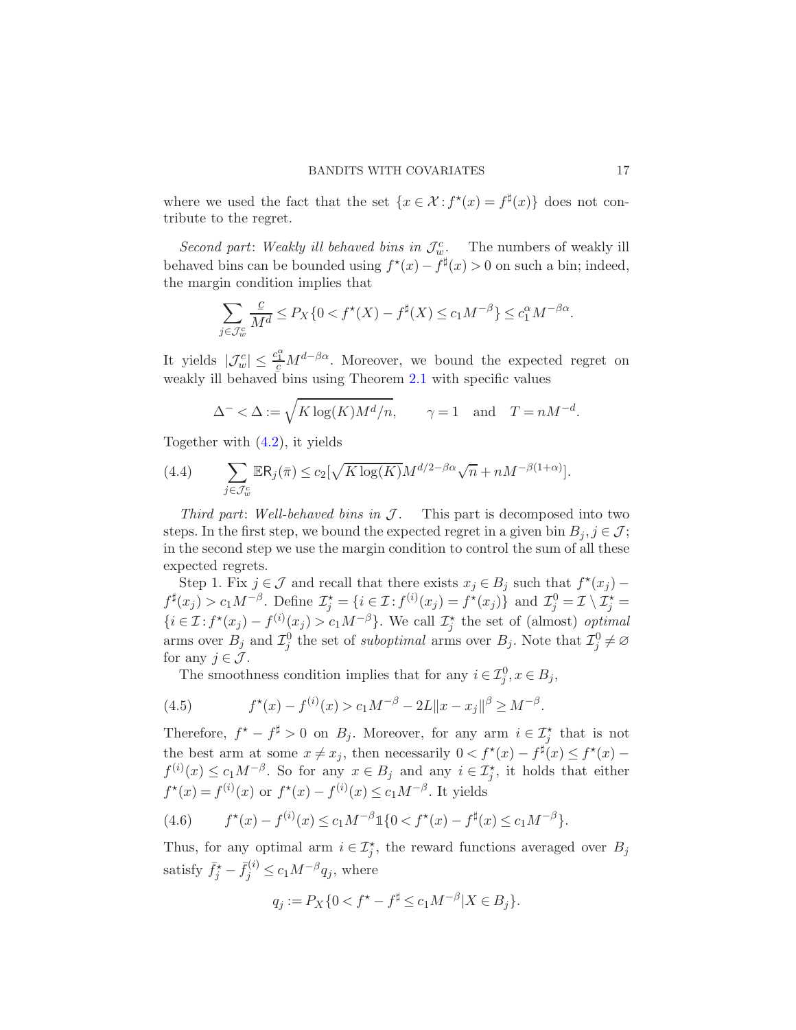where we used the fact that the set  $\{x \in \mathcal{X} : f^*(x) = f^{\sharp}(x)\}\)$  does not contribute to the regret.

Second part: Weakly ill behaved bins in  $\mathcal{J}_{w}^c$ . The numbers of weakly ill behaved bins can be bounded using  $f^*(x) - f^{\sharp}(x) > 0$  on such a bin; indeed, the margin condition implies that

$$
\sum_{j\in\mathcal{J}_{\omega}^c}\frac{c}{M^d}\leq P_X\{0
$$

It yields  $|\mathcal{J}^c_w| \leq \frac{c_1^{\alpha}}{c} M^{d-\beta\alpha}$ . Moreover, we bound the expected regret on weakly ill behaved bins using Theorem [2.1](#page-5-1) with specific values

$$
\Delta^- < \Delta := \sqrt{K \log(K) M^d / n}, \qquad \gamma = 1 \quad \text{and} \quad T = nM^{-d}.
$$

Together with [\(4.2\)](#page-15-0), it yields

<span id="page-16-2"></span>(4.4) 
$$
\sum_{j \in \mathcal{J}_w^c} \mathbb{E} \mathsf{R}_j(\bar{\pi}) \leq c_2 \left[ \sqrt{K \log(K)} M^{d/2 - \beta \alpha} \sqrt{n} + n M^{-\beta(1+\alpha)} \right].
$$

Third part: Well-behaved bins in  $\mathcal{J}$ . This part is decomposed into two steps. In the first step, we bound the expected regret in a given bin  $B_i, j \in \mathcal{J}$ ; in the second step we use the margin condition to control the sum of all these expected regrets.

Step 1. Fix  $j \in \mathcal{J}$  and recall that there exists  $x_j \in B_j$  such that  $f^*(x_j)$  –  $f^{\sharp}(x_j) > c_1 M^{-\beta}$ . Define  $\mathcal{I}^{\star}_j = \{i \in \mathcal{I} : f^{(i)}(x_j) = f^{\star}(x_j)\}$  and  $\mathcal{I}^0_j = \mathcal{I} \setminus \mathcal{I}^{\star}_j =$  $\{i \in \mathcal{I} : f^*(x_j) - f^{(i)}(x_j) > c_1 M^{-\beta}\}\.$  We call  $\mathcal{I}^*_j$  the set of (almost) *optimal* arms over  $B_j$  and  $\mathcal{I}_j^0$  the set of *suboptimal* arms over  $B_j$ . Note that  $\mathcal{I}_j^0 \neq \emptyset$ for any  $j \in \mathcal{J}$ .

<span id="page-16-0"></span>The smoothness condition implies that for any  $i \in \mathcal{I}_j^0, x \in B_j$ ,

(4.5) 
$$
f^{\star}(x) - f^{(i)}(x) > c_1 M^{-\beta} - 2L \|x - x_j\|^{\beta} \ge M^{-\beta}.
$$

Therefore,  $f^* - f^{\sharp} > 0$  on  $B_j$ . Moreover, for any arm  $i \in \mathcal{I}_j^*$  that is not the best arm at some  $x \neq x_j$ , then necessarily  $0 < f^*(x) - f^*(x) \leq f^*(x) f^{(i)}(x) \le c_1 M^{-\beta}$ . So for any  $x \in B_j$  and any  $i \in \mathcal{I}_j^*$ , it holds that either  $f^*(x) = f^{(i)}(x)$  or  $f^*(x) - f^{(i)}(x) \le c_1 M^{-\beta}$ . It yields

<span id="page-16-1"></span>(4.6) 
$$
f^{\star}(x) - f^{(i)}(x) \le c_1 M^{-\beta} \mathbb{1} \{ 0 < f^{\star}(x) - f^{\sharp}(x) \le c_1 M^{-\beta} \}.
$$

Thus, for any optimal arm  $i \in \mathcal{I}_{j}^{\star}$ , the reward functions averaged over  $B_j$ satisfy  $\bar{f}_j^* - \bar{f}_j^{(i)} \le c_1 M^{-\beta} q_j$ , where

$$
q_j := P_X \{ 0 < f^\star - f^\sharp \le c_1 M^{-\beta} | X \in B_j \}.
$$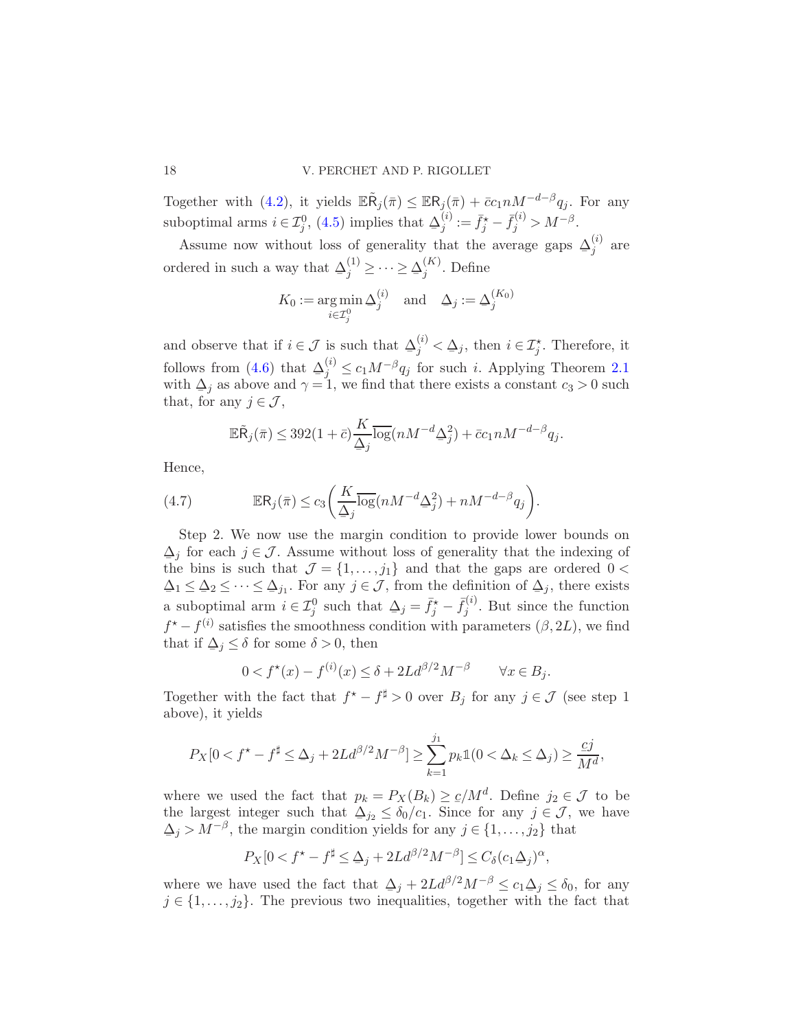Together with [\(4.2\)](#page-15-0), it yields  $\mathbb{E} \tilde{\mathsf{R}}_j(\bar{\pi}) \leq \mathbb{E} \mathsf{R}_j(\bar{\pi}) + \bar{c} c_1 n M^{-d-\beta} q_j$ . For any suboptimal arms  $i \in \mathcal{I}_j^0$ , [\(4.5\)](#page-16-0) implies that  $\Delta_j^{(i)}$  $j^{(i)} := \bar{f}_j^* - \bar{f}_j^{(i)} > M^{-\beta}.$ 

Assume now without loss of generality that the average gaps  $\Delta_j^{(i)}$  $j^{(\prime)}$  are ordered in such a way that  $\Delta_j^{(1)} \geq \cdots \geq \Delta_j^{(K)}$  $j^{\left(\mu\right)}$ . Define

$$
K_0 := \operatorname*{arg\,min}_{i \in \mathcal{I}_j^0} \Delta_j^{(i)} \quad \text{and} \quad \Delta_j := \Delta_j^{(K_0)}
$$

and observe that if  $i \in \mathcal{J}$  is such that  $\Delta_j^{(i)} < \Delta_j$ , then  $i \in \mathcal{I}_j^*$ . Therefore, it  $\equiv$ <sub>1</sub>  $\equiv$ follows from [\(4.6\)](#page-16-1) that  $\Delta_j^{(i)} \le c_1 M^{-\beta} q_j$  for such i. Applying Theorem [2.1](#page-5-1) with  $\Delta_j$  as above and  $\gamma = 1$ , we find that there exists a constant  $c_3 > 0$  such that, for any  $j \in \mathcal{J}$ ,

<span id="page-17-0"></span>
$$
\mathbb{E}\tilde{\mathsf{R}}_j(\bar{\pi}) \le 392(1+\bar{c})\frac{K}{\Delta_j}\overline{\log}(nM^{-d}\Delta_j^2) + \bar{c}c_1nM^{-d-\beta}q_j.
$$

Hence,

(4.7) 
$$
\mathbb{E} \mathsf{R}_j(\bar{\pi}) \le c_3 \bigg( \frac{K}{\Delta_j} \overline{\log}(n M^{-d} \Delta_j^2) + n M^{-d-\beta} q_j \bigg).
$$

Step 2. We now use the margin condition to provide lower bounds on the bins is such that  $\mathcal{J} = \{1, \ldots, j_1\}$  and that the gaps are ordered  $0 <$  $\Delta_j$  for each  $j \in \mathcal{J}$ . Assume without loss of generality that the indexing of a suboptimal arm  $i \in \mathcal{I}_j^0$  such that  $\Delta_j = \bar{f}_j^* - \bar{f}_j^{(i)}$ . But sinc  $\Delta_1 \leq \Delta_2 \leq \cdots \leq \Delta_{j_1}$ . For any  $j \in \mathcal{J}$ , from the definition of  $\Delta_j$ , there exists ¯  $j^{(i)}$ . But since the function  $f^* - f^{(i)}$  satisfies the smoothness condition with parameters  $(\beta, 2L)$ , we find that if  $\Delta_j \leq \delta$  for some  $\delta > 0$ , then

$$
0 < f^*(x) - f^{(i)}(x) \le \delta + 2L d^{\beta/2} M^{-\beta} \qquad \forall x \in B_j.
$$

Together with the fact that  $f^* - f^{\sharp} > 0$  over  $B_j$  for any  $j \in \mathcal{J}$  (see step 1 above), it yields

$$
P_X[0 < f^* - f^{\sharp} \le \Delta_j + 2Ld^{\beta/2}M^{-\beta}] \ge \sum_{k=1}^{j_1} p_k \mathbb{1}(0 < \Delta_k \le \Delta_j) \ge \frac{cj}{M^d},
$$

where we used the fact that  $p_k = P_X(B_k) \ge c/M^d$ . Define  $j_2 \in \mathcal{J}$  to be the largest integer such that  $\Delta_{j_2} \leq \delta_0/c_1$ . Since for any  $j \in \mathcal{J}$ , we have ¯  $\Delta_j > M^{-\beta}$ , the margin condition yields for any  $j \in \{1, \ldots, j_2\}$  that

$$
P_X[0 < f^\star - f^\sharp \le \Delta_j + 2L d^{\beta/2} M^{-\beta}] \le C_\delta (c_1 \Delta_j)^\alpha,
$$

where we have used the fact that  $\Delta_j + 2L d^{\beta/2} M^{-\beta} \le c_1 \Delta_j \le \delta_0$ , for any  $j \in \{1, \ldots, j_2\}$ . The previous two inequalities, together with the fact that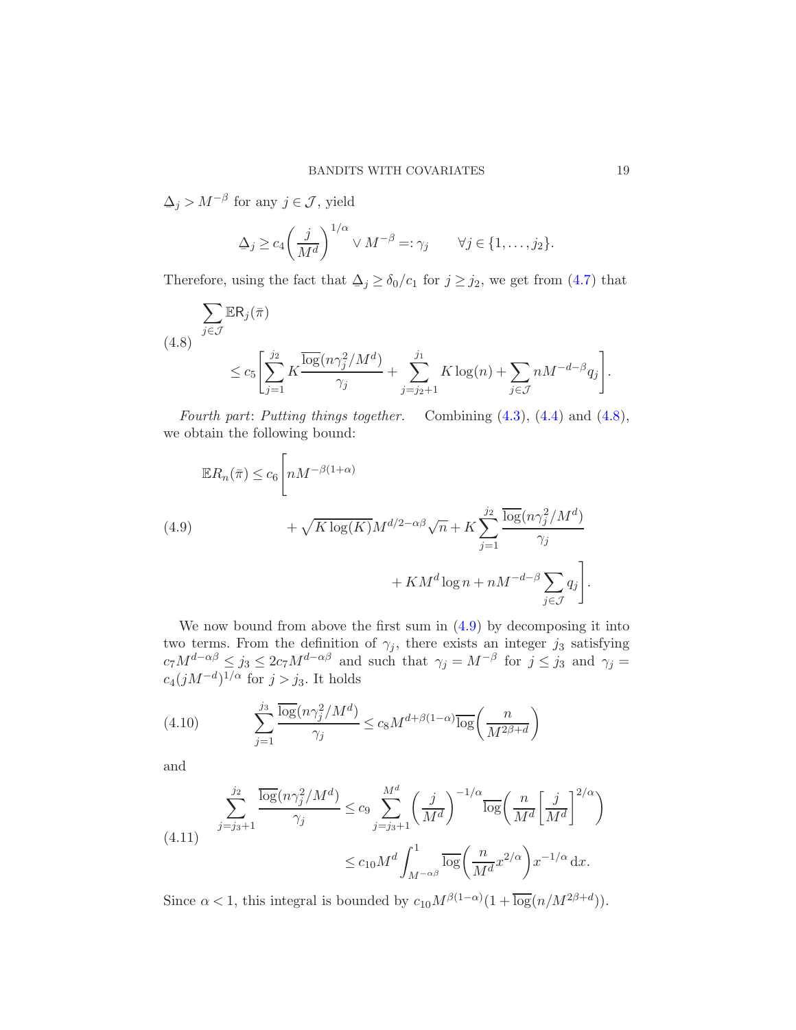$\Delta_j > M^{-\beta}$  for any  $j \in \mathcal{J}$ , yield

$$
\Delta_j \ge c_4 \left(\frac{j}{M^d}\right)^{1/\alpha} \vee M^{-\beta} =: \gamma_j \qquad \forall j \in \{1, \dots, j_2\}.
$$

Therefore, using the fact that  $\Delta_j \ge \delta_0/c_1$  for  $j \ge j_2$ , we get from [\(4.7\)](#page-17-0) that

<span id="page-18-0"></span>(4.8) 
$$
\sum_{j \in \mathcal{J}} \mathbb{E} \mathsf{R}_{j}(\bar{\pi})
$$

$$
\leq c_{5} \left[ \sum_{j=1}^{j_{2}} K \frac{\overline{\log}(n \gamma_{j}^{2} / M^{d})}{\gamma_{j}} + \sum_{j=j_{2}+1}^{j_{1}} K \log(n) + \sum_{j \in \mathcal{J}} n M^{-d-\beta} q_{j} \right].
$$

Fourth part: Putting things together. Combining [\(4.3\)](#page-15-1), [\(4.4\)](#page-16-2) and [\(4.8\)](#page-18-0), we obtain the following bound:

<span id="page-18-1"></span>
$$
\mathbb{E}R_n(\bar{\pi}) \le c_6 \left[ n M^{-\beta(1+\alpha)} + \sqrt{K \log(K)} M^{d/2 - \alpha \beta} \sqrt{n} + K \sum_{j=1}^{j_2} \frac{\overline{\log}(n \gamma_j^2 / M^d)}{\gamma_j} + KM^d \log n + n M^{-d-\beta} \sum_{j \in \mathcal{J}} q_j \right].
$$
\n(4.9)

We now bound from above the first sum in  $(4.9)$  by decomposing it into two terms. From the definition of  $\gamma_j$ , there exists an integer  $j_3$  satisfying  $c_7M^{d-\alpha\beta} \leq j_3 \leq 2c_7M^{d-\alpha\beta}$  and such that  $\gamma_j = M^{-\beta}$  for  $j \leq j_3$  and  $\gamma_j =$  $c_4(jM^{-d})^{1/\alpha}$  for  $j > j_3$ . It holds

(4.10) 
$$
\sum_{j=1}^{j_3} \frac{\overline{\log}(n \gamma_j^2 / M^d)}{\gamma_j} \le c_8 M^{d + \beta(1-\alpha)} \overline{\log}\left(\frac{n}{M^{2\beta+d}}\right)
$$

and

$$
\sum_{j=j_3+1}^{j_2} \frac{\overline{\log}(n\gamma_j^2/M^d)}{\gamma_j} \le c_9 \sum_{j=j_3+1}^{M^d} \left(\frac{j}{M^d}\right)^{-1/\alpha} \overline{\log}\left(\frac{n}{M^d}\left[\frac{j}{M^d}\right]^{2/\alpha}\right)
$$
\n
$$
\le c_{10} M^d \int_{M^{-\alpha\beta}}^1 \overline{\log}\left(\frac{n}{M^d} x^{2/\alpha}\right) x^{-1/\alpha} dx.
$$

Since  $\alpha < 1$ , this integral is bounded by  $c_{10} M^{\beta(1-\alpha)} (1 + \overline{\log}(n/M^{2\beta+d}))$ .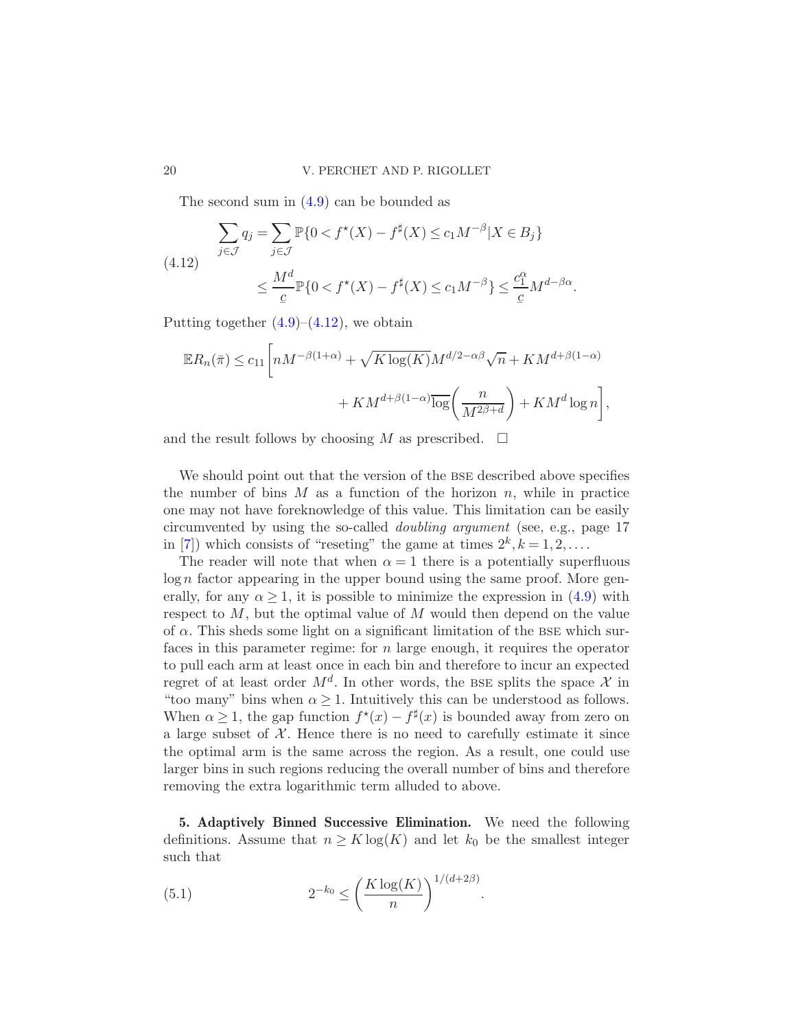<span id="page-19-1"></span>The second sum in [\(4.9\)](#page-18-1) can be bounded as

$$
\sum_{j \in \mathcal{J}} q_j = \sum_{j \in \mathcal{J}} \mathbb{P}\{0 < f^\star(X) - f^\sharp(X) \le c_1 M^{-\beta} | X \in B_j\}
$$
\n
$$
\le \frac{M^d}{c} \mathbb{P}\{0 < f^\star(X) - f^\sharp(X) \le c_1 M^{-\beta}\} \le \frac{c_1^\alpha}{c} M^{d-\beta\alpha}
$$

Putting together  $(4.9)$ – $(4.12)$ , we obtain

$$
\mathbb{E}R_n(\bar{\pi}) \le c_{11} \left[ nM^{-\beta(1+\alpha)} + \sqrt{K \log(K)} M^{d/2 - \alpha \beta} \sqrt{n} + KM^{d+\beta(1-\alpha)} + KM^{d+\beta(1-\alpha)} \overline{\log} \left( \frac{n}{M^{2\beta+d}} \right) + KM^d \log n \right],
$$

.

and the result follows by choosing M as prescribed.  $\square$ 

We should point out that the version of the BSE described above specifies the number of bins  $M$  as a function of the horizon  $n$ , while in practice one may not have foreknowledge of this value. This limitation can be easily circumvented by using the so-called doubling argument (see, e.g., page 17 in [\[7](#page-28-18)]) which consists of "reseting" the game at times  $2^k, k = 1, 2, \ldots$ 

The reader will note that when  $\alpha = 1$  there is a potentially superfluous  $log n$  factor appearing in the upper bound using the same proof. More generally, for any  $\alpha \geq 1$ , it is possible to minimize the expression in [\(4.9\)](#page-18-1) with respect to  $M$ , but the optimal value of  $M$  would then depend on the value of  $\alpha$ . This sheds some light on a significant limitation of the BSE which surfaces in this parameter regime: for n large enough, it requires the operator to pull each arm at least once in each bin and therefore to incur an expected regret of at least order  $M^d$ . In other words, the BSE splits the space X in "too many" bins when  $\alpha \geq 1$ . Intuitively this can be understood as follows. When  $\alpha \geq 1$ , the gap function  $f^*(x) - f^{\sharp}(x)$  is bounded away from zero on a large subset of  $\mathcal X$ . Hence there is no need to carefully estimate it since the optimal arm is the same across the region. As a result, one could use larger bins in such regions reducing the overall number of bins and therefore removing the extra logarithmic term alluded to above.

<span id="page-19-0"></span>5. Adaptively Binned Successive Elimination. We need the following definitions. Assume that  $n \geq K \log(K)$  and let  $k_0$  be the smallest integer such that

<span id="page-19-2"></span>(5.1) 
$$
2^{-k_0} \leq \left(\frac{K \log(K)}{n}\right)^{1/(d+2\beta)}.
$$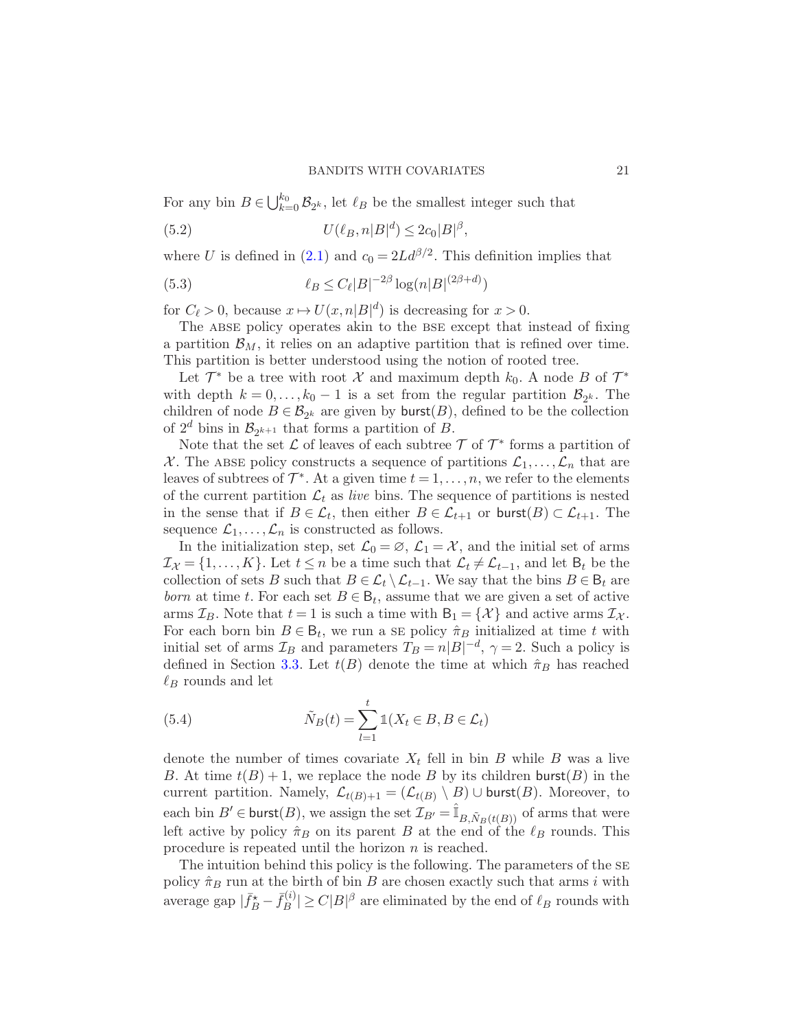For any bin  $B \in \bigcup_{k=0}^{k_0} \mathcal{B}_{2^k}$ , let  $\ell_B$  be the smallest integer such that

<span id="page-20-1"></span>(5.2) 
$$
U(\ell_B, n|B|^d) \le 2c_0|B|^{\beta},
$$

where U is defined in [\(2.1\)](#page-4-0) and  $c_0 = 2L d^{\beta/2}$ . This definition implies that

<span id="page-20-2"></span>(5.3) 
$$
\ell_B \le C_{\ell} |B|^{-2\beta} \log(n|B|^{(2\beta+d)})
$$

for  $C_{\ell} > 0$ , because  $x \mapsto U(x, n|B|^d)$  is decreasing for  $x > 0$ .

The ABSE policy operates akin to the BSE except that instead of fixing a partition  $\mathcal{B}_M$ , it relies on an adaptive partition that is refined over time. This partition is better understood using the notion of rooted tree.

Let  $\mathcal{T}^*$  be a tree with root  $\mathcal X$  and maximum depth  $k_0$ . A node  $B$  of  $\mathcal{T}^*$ with depth  $k = 0, \ldots, k_0 - 1$  is a set from the regular partition  $\mathcal{B}_{2^k}$ . The children of node  $B \in \mathcal{B}_{2^k}$  are given by **burst** $(B)$ , defined to be the collection of  $2^d$  bins in  $\mathcal{B}_{2^{k+1}}$  that forms a partition of B.

Note that the set  $\mathcal L$  of leaves of each subtree  $\mathcal T$  of  $\mathcal T^*$  forms a partition of X. The ABSE policy constructs a sequence of partitions  $\mathcal{L}_1, \ldots, \mathcal{L}_n$  that are leaves of subtrees of  $\mathcal{T}^*$ . At a given time  $t = 1, \ldots, n$ , we refer to the elements of the current partition  $\mathcal{L}_t$  as live bins. The sequence of partitions is nested in the sense that if  $B \in \mathcal{L}_t$ , then either  $B \in \mathcal{L}_{t+1}$  or burst $(B) \subset \mathcal{L}_{t+1}$ . The sequence  $\mathcal{L}_1, \ldots, \mathcal{L}_n$  is constructed as follows.

In the initialization step, set  $\mathcal{L}_0 = \emptyset$ ,  $\mathcal{L}_1 = \mathcal{X}$ , and the initial set of arms  $\mathcal{I}_{\mathcal{X}} = \{1, \ldots, K\}$ . Let  $t \leq n$  be a time such that  $\mathcal{L}_t \neq \mathcal{L}_{t-1}$ , and let  $B_t$  be the collection of sets B such that  $B \in \mathcal{L}_t \setminus \mathcal{L}_{t-1}$ . We say that the bins  $B \in \mathsf{B}_t$  are born at time t. For each set  $B \in \mathsf{B}_t$ , assume that we are given a set of active arms  $\mathcal{I}_B$ . Note that  $t = 1$  is such a time with  $B_1 = \{ \mathcal{X} \}$  and active arms  $\mathcal{I}_{\mathcal{X}}$ . For each born bin  $B \in \mathsf{B}_t$ , we run a SE policy  $\hat{\pi}_B$  initialized at time t with initial set of arms  $\mathcal{I}_B$  and parameters  $T_B = n|B|^{-d}$ ,  $\gamma = 2$ . Such a policy is defined in Section [3.3.](#page-12-0) Let  $t(B)$  denote the time at which  $\hat{\pi}_B$  has reached  $\ell_B$  rounds and let

<span id="page-20-0"></span>(5.4) 
$$
\tilde{N}_B(t) = \sum_{l=1}^t \mathbb{1}(X_t \in B, B \in \mathcal{L}_t)
$$

denote the number of times covariate  $X_t$  fell in bin B while B was a live B. At time  $t(B) + 1$ , we replace the node B by its children burst $(B)$  in the current partition. Namely,  $\mathcal{L}_{t(B)+1} = (\mathcal{L}_{t(B)} \setminus B) \cup \text{burst}(B)$ . Moreover, to each bin  $B' \in \text{burst}(B)$ , we assign the set  $\mathcal{I}_{B'} = \hat{\mathbb{I}}_{B,\tilde{N}_B(t(B))}$  of arms that were left active by policy  $\hat{\pi}_B$  on its parent B at the end of the  $\ell_B$  rounds. This procedure is repeated until the horizon n is reached.

The intuition behind this policy is the following. The parameters of the se policy  $\hat{\pi}_B$  run at the birth of bin B are chosen exactly such that arms i with average gap  $|\bar{f}_B^* - \bar{f}_B^{(i)}|$  $|B^{(i)}| \ge C|B|^{\beta}$  are eliminated by the end of  $\ell_B$  rounds with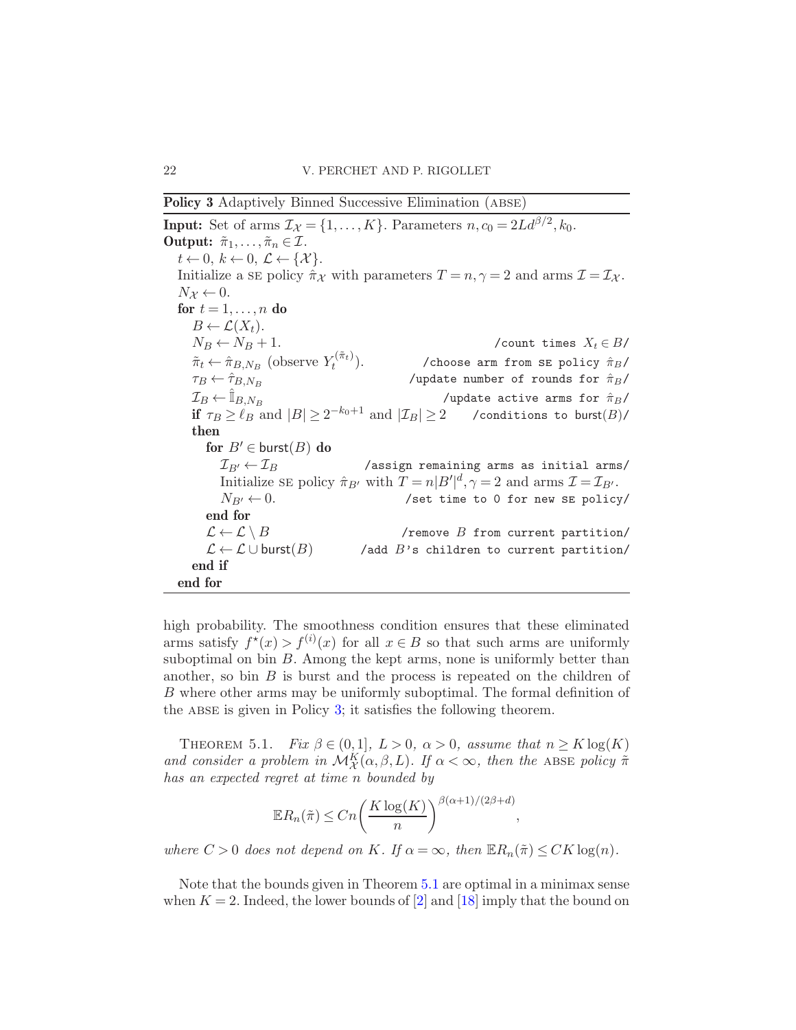<span id="page-21-1"></span>Policy 3 Adaptively Binned Successive Elimination (ABSE)

**Input:** Set of arms  $\mathcal{I}_{\mathcal{X}} = \{1, ..., K\}$ . Parameters  $n, c_0 = 2L d^{\beta/2}, k_0$ . **Output:**  $\tilde{\pi}_1, \ldots, \tilde{\pi}_n \in \mathcal{I}$ .  $t \leftarrow 0, k \leftarrow 0, \mathcal{L} \leftarrow \{ \mathcal{X} \}.$ Initialize a set policy  $\hat{\pi}_{\mathcal{X}}$  with parameters  $T = n, \gamma = 2$  and arms  $\mathcal{I} = \mathcal{I}_{\mathcal{X}}$ .  $N_{\mathcal{X}} \leftarrow 0.$ for  $t = 1, \ldots, n$  do  $B \leftarrow \mathcal{L}(X_t).$ <br> $N_B \leftarrow N_B + 1.$ /count times  $X_t \in B$ /  $\tilde{\pi}_t \leftarrow \hat{\pi}_{B,N_B}$  (observe  $Y_t^{(\tilde{\pi}_t)}$ t /choose arm from  $SE$  policy  $\hat{\pi}_B$ /  $\tau_B \leftarrow \hat{\tau}_{B,N_B}$ /update number of rounds for  $\hat{\pi}_B$ /  $\mathcal{I}_B \leftarrow \hat{\mathbb{I}}_{B,N_B}$ /update active arms for  $\hat{\pi}_B$ / if  $\tau_B \geq \ell_B$  and  $|B| \geq 2^{-k_0+1}$  and  $|\mathcal{I}_B| \geq 2$ /conditions to burst $(B)$ / then for  $B' \in \text{burst}(B)$  do  $\mathcal{I}_{B'} \leftarrow \mathcal{I}_B$ /assign remaining arms as initial arms/ Initialize SE policy  $\hat{\pi}_{B'}$  with  $T = n|B'|^d$ ,  $\gamma = 2$  and arms  $\mathcal{I} = \mathcal{I}_{B'}$ .  $N_{B'} \leftarrow 0.$  /set time to 0 for new se policy/ end for  $\mathcal{L} \leftarrow \mathcal{L} \setminus B$  /remove B from current partition/<br>  $\mathcal{L} \leftarrow \mathcal{L} \cup \text{burst}(B)$  /add B's children to current partition/ /add  $B$ 's children to current partition/ end if end for

high probability. The smoothness condition ensures that these eliminated arms satisfy  $f^*(x) > f^{(i)}(x)$  for all  $x \in B$  so that such arms are uniformly suboptimal on bin B. Among the kept arms, none is uniformly better than another, so bin  $B$  is burst and the process is repeated on the children of B where other arms may be uniformly suboptimal. The formal definition of the ABSE is given in Policy  $3$ ; it satisfies the following theorem.

<span id="page-21-0"></span>THEOREM 5.1. Fix  $\beta \in (0,1], L > 0, \alpha > 0$ , assume that  $n \geq K \log(K)$ and consider a problem in  $\mathcal{M}_{\mathcal{X}}^K(\alpha,\beta,L)$ . If  $\alpha < \infty$ , then the ABSE policy  $\tilde{\pi}$ has an expected regret at time n bounded by

$$
\mathbb{E}R_n(\tilde{\pi}) \le Cn\left(\frac{K\log(K)}{n}\right)^{\beta(\alpha+1)/(2\beta+d)},
$$

where  $C > 0$  does not depend on K. If  $\alpha = \infty$ , then  $\mathbb{E}R_n(\tilde{\pi}) \leq CK \log(n)$ .

Note that the bounds given in Theorem [5.1](#page-21-0) are optimal in a minimax sense when  $K = 2$ . Indeed, the lower bounds of [\[2](#page-28-7)] and [\[18](#page-28-5)] imply that the bound on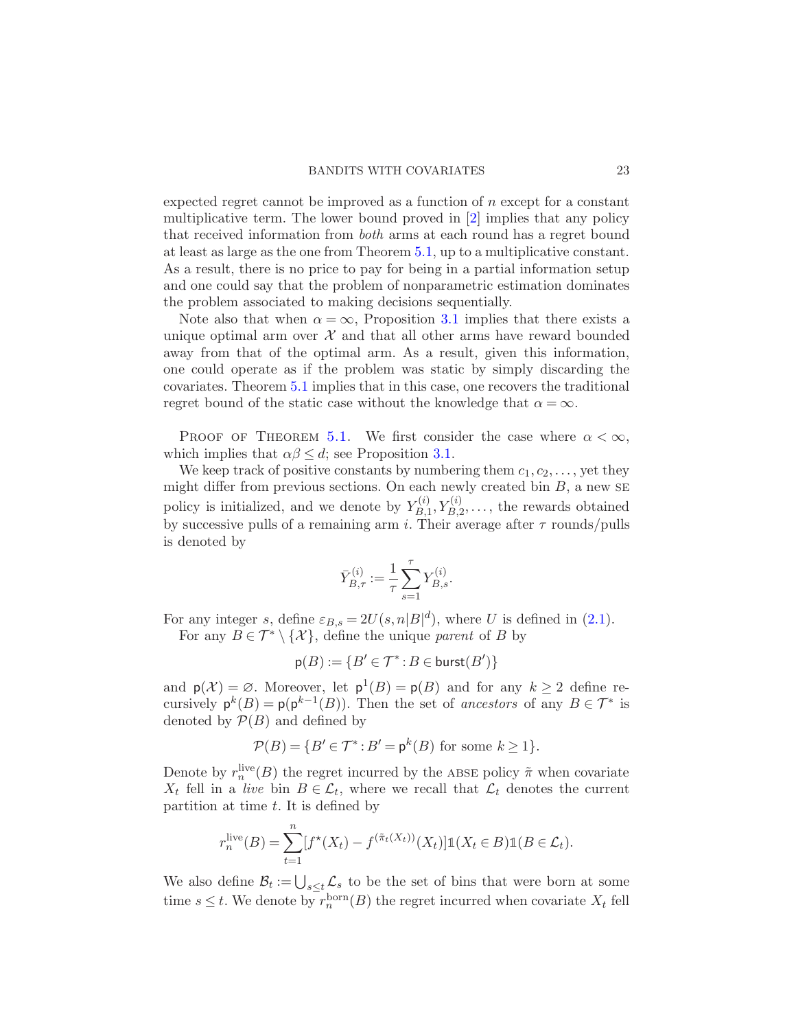expected regret cannot be improved as a function of n except for a constant multiplicative term. The lower bound proved in [\[2\]](#page-28-7) implies that any policy that received information from both arms at each round has a regret bound at least as large as the one from Theorem [5.1,](#page-21-0) up to a multiplicative constant. As a result, there is no price to pay for being in a partial information setup and one could say that the problem of nonparametric estimation dominates the problem associated to making decisions sequentially.

Note also that when  $\alpha = \infty$ , Proposition [3.1](#page-11-0) implies that there exists a unique optimal arm over  $\mathcal X$  and that all other arms have reward bounded away from that of the optimal arm. As a result, given this information, one could operate as if the problem was static by simply discarding the covariates. Theorem [5.1](#page-21-0) implies that in this case, one recovers the traditional regret bound of the static case without the knowledge that  $\alpha = \infty$ .

PROOF OF THEOREM [5.1.](#page-21-0) We first consider the case where  $\alpha < \infty$ , which implies that  $\alpha\beta \leq d$ ; see Proposition [3.1.](#page-11-0)

We keep track of positive constants by numbering them  $c_1, c_2, \ldots$ , yet they might differ from previous sections. On each newly created bin  $B$ , a new  $SE$ policy is initialized, and we denote by  $Y_{B,1}^{(i)}$  $\chi_{B,1}^{(i)}, Y_{B,2}^{(i)}, \ldots$ , the rewards obtained by successive pulls of a remaining arm i. Their average after  $\tau$  rounds/pulls is denoted by

$$
\bar{Y}_{B,\tau}^{(i)} := \frac{1}{\tau} \sum_{s=1}^{\tau} Y_{B,s}^{(i)}.
$$

For any integer s, define  $\varepsilon_{B,s} = 2U(s,n|B|^d)$ , where U is defined in [\(2.1\)](#page-4-0). For any  $B \in \mathcal{T}^* \setminus \{X\}$ , define the unique *parent* of B by

$$
\mathsf{p}(B) := \{B' \in \mathcal{T}^* \colon\! B \in \mathsf{burst}(B')\}
$$

and  $p(\mathcal{X}) = \emptyset$ . Moreover, let  $p^1(B) = p(B)$  and for any  $k \ge 2$  define recursively  $p^k(B) = p(p^{k-1}(B))$ . Then the set of ancestors of any  $B \in \mathcal{T}^*$  is denoted by  $\mathcal{P}(B)$  and defined by

$$
\mathcal{P}(B) = \{ B' \in \mathcal{T}^* : B' = \mathsf{p}^k(B) \text{ for some } k \ge 1 \}.
$$

Denote by  $r_n^{\text{live}}(B)$  the regret incurred by the ABSE policy  $\tilde{\pi}$  when covariate  $X_t$  fell in a live bin  $B \in \mathcal{L}_t$ , where we recall that  $\mathcal{L}_t$  denotes the current partition at time  $t$ . It is defined by

$$
r_n^{\text{live}}(B) = \sum_{t=1}^n [f^*(X_t) - f^{(\tilde{\pi}_t(X_t))}(X_t)] \mathbb{1}(X_t \in B) \mathbb{1}(B \in \mathcal{L}_t).
$$

We also define  $\mathcal{B}_t := \bigcup_{s \leq t} \mathcal{L}_s$  to be the set of bins that were born at some time  $s \leq t$ . We denote by  $r_n^{\text{born}}(B)$  the regret incurred when covariate  $X_t$  fell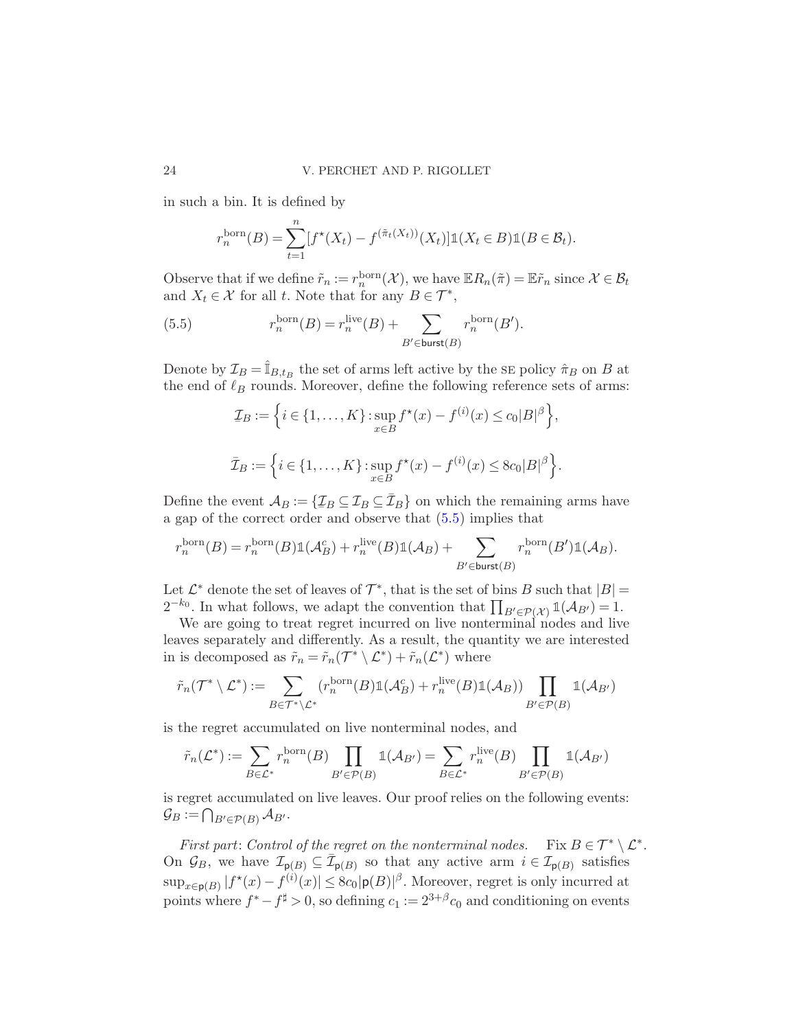### 24 V. PERCHET AND P. RIGOLLET

in such a bin. It is defined by

$$
r_n^{\text{born}}(B) = \sum_{t=1}^n [f^*(X_t) - f^{(\tilde{\pi}_t(X_t))}(X_t)] \mathbb{1}(X_t \in B) \mathbb{1}(B \in \mathcal{B}_t).
$$

Observe that if we define  $\tilde{r}_n := r_n^{\text{born}}(\mathcal{X})$ , we have  $\mathbb{E}R_n(\tilde{\pi}) = \mathbb{E}\tilde{r}_n$  since  $\mathcal{X} \in \mathcal{B}_t$ and  $X_t \in \mathcal{X}$  for all t. Note that for any  $B \in \mathcal{T}^*$ ,

(5.5) 
$$
r_n^{\text{born}}(B) = r_n^{\text{live}}(B) + \sum_{B' \in \text{burst}(B)} r_n^{\text{born}}(B').
$$

Denote by  $\mathcal{I}_B = \hat{\mathbb{I}}_{B,t_B}$  the set of arms left active by the set policy  $\hat{\pi}_B$  on B at the end of  $\ell_B$  rounds. Moreover, define the following reference sets of arms:

<span id="page-23-0"></span>
$$
\mathcal{I}_B := \left\{ i \in \{1, ..., K\} : \sup_{x \in B} f^\star(x) - f^{(i)}(x) \le c_0 |B|^\beta \right\},\
$$
  

$$
\bar{\mathcal{I}}_B := \left\{ i \in \{1, ..., K\} : \sup_{x \in B} f^\star(x) - f^{(i)}(x) \le 8c_0 |B|^\beta \right\}.
$$

Define the event  $\mathcal{A}_B := \{ \mathcal{I}_B \subseteq \mathcal{I}_B \subseteq \mathcal{I}_B \}$  on which the remaining arms have  $\Box$  a gap of the correct order and observe that  $(5.5)$  implies that

$$
r_n^{\text{born}}(B) = r_n^{\text{born}}(B) \mathbb{1}(\mathcal{A}_B^c) + r_n^{\text{live}}(B) \mathbb{1}(\mathcal{A}_B) + \sum_{B' \in \text{burst}(B)} r_n^{\text{born}}(B') \mathbb{1}(\mathcal{A}_B).
$$

Let  $\mathcal{L}^*$  denote the set of leaves of  $\mathcal{T}^*$ , that is the set of bins B such that  $|B|$  =  $2^{-k_0}$ . In what follows, we adapt the convention that  $\prod_{B'\in \mathcal{P}(\mathcal{X})}\mathbb{1}(\mathcal{A}_{B'})=1$ .

We are going to treat regret incurred on live nonterminal nodes and live leaves separately and differently. As a result, the quantity we are interested in is decomposed as  $\tilde{r}_n = \tilde{r}_n(\mathcal{T}^* \setminus \mathcal{L}^*) + \tilde{r}_n(\mathcal{L}^*)$  where

$$
\tilde{r}_n(\mathcal{T}^* \setminus \mathcal{L}^*) := \sum_{B \in \mathcal{T}^* \setminus \mathcal{L}^*} (r_n^{\text{born}}(B) \mathbb{1}(\mathcal{A}_B^c) + r_n^{\text{live}}(B) \mathbb{1}(\mathcal{A}_B)) \prod_{B' \in \mathcal{P}(B)} \mathbb{1}(\mathcal{A}_{B'})
$$

is the regret accumulated on live nonterminal nodes, and

$$
\tilde{r}_n(\mathcal{L}^*) := \sum_{B \in \mathcal{L}^*} r_n^{\text{born}}(B) \prod_{B' \in \mathcal{P}(B)} \mathbb{1}(\mathcal{A}_{B'}) = \sum_{B \in \mathcal{L}^*} r_n^{\text{live}}(B) \prod_{B' \in \mathcal{P}(B)} \mathbb{1}(\mathcal{A}_{B'})
$$

is regret accumulated on live leaves. Our proof relies on the following events:  $\mathcal{G}_B \mathbin{:=} \bigcap_{B' \in \mathcal{P}(B)} \mathcal{A}_{B'}.$ 

First part: Control of the regret on the nonterminal nodes. Fix  $B \in \mathcal{T}^* \setminus \mathcal{L}^*$ . On  $\mathcal{G}_B$ , we have  $\mathcal{I}_{p(B)} \subseteq \overline{\mathcal{I}}_{p(B)}$  so that any active arm  $i \in \mathcal{I}_{p(B)}$  satisfies  $\sup_{x \in \mathsf{p}(B)} |f^*(x) - f^{(i)}(x)| \leq 8c_0 |\mathsf{p}(B)|^{\beta}$ . Moreover, regret is only incurred at points where  $f^* - f^{\sharp} > 0$ , so defining  $c_1 := 2^{3+\beta} c_0$  and conditioning on events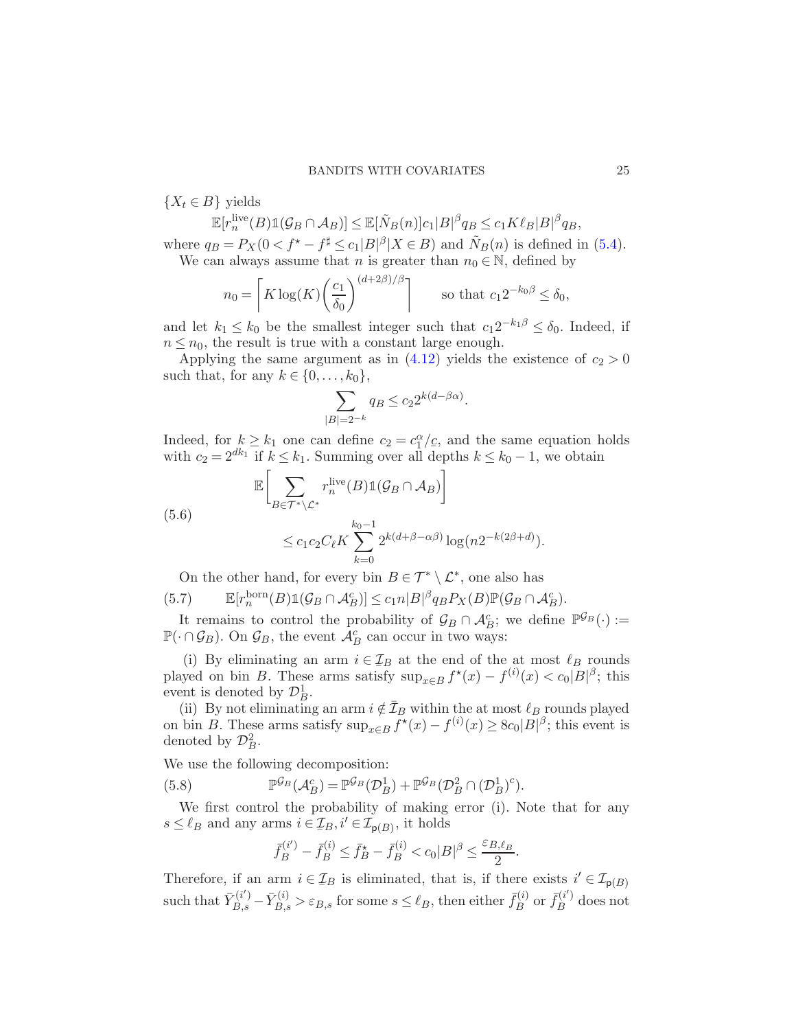$\{X_t \in B\}$  yields

$$
\mathbb{E}[r_n^{\text{live}}(B)\mathbb{1}(\mathcal{G}_B \cap \mathcal{A}_B)] \leq \mathbb{E}[\tilde{N}_B(n)]c_1|B|^{\beta}q_B \leq c_1K\ell_B|B|^{\beta}q_B,
$$

where  $q_B = P_X(0 < f^* - f^* \le c_1 |B|^\beta | X \in B)$  and  $\tilde{N}_B(n)$  is defined in [\(5.4\)](#page-20-0). We can always assume that n is greater than  $n_0 \in \mathbb{N}$ , defined by

$$
n_0 = \left\lceil K \log(K) \left( \frac{c_1}{\delta_0} \right)^{(d+2\beta)/\beta} \right\rceil \qquad \text{so that } c_1 2^{-k_0 \beta} \le \delta_0,
$$

and let  $k_1 \leq k_0$  be the smallest integer such that  $c_1 2^{-k_1 \beta} \leq \delta_0$ . Indeed, if  $n \leq n_0$ , the result is true with a constant large enough.

Applying the same argument as in  $(4.12)$  yields the existence of  $c_2 > 0$ such that, for any  $k \in \{0, \ldots, k_0\},\$ 

$$
\sum_{|B|=2^{-k}} q_B \le c_2 2^{k(d-\beta\alpha)}.
$$

Indeed, for  $k \geq k_1$  one can define  $c_2 = c_1^{\alpha}/c$ , and the same equation holds<br>with  $c_2 = 2^{dk_1}$  if  $k < k_2$ . Summing over all dentities  $k < k_2 - 1$ , we obtain with  $c_2 = 2^{dk_1}$  if  $k \le k_1$ . Summing over all depths  $k \le k_0 - 1$ , we obtain

<span id="page-24-2"></span>(5.6)  

$$
\mathbb{E}\left[\sum_{B\in\mathcal{T}^*\backslash\mathcal{L}^*} r_n^{\text{live}}(B)\mathbb{1}(\mathcal{G}_B \cap \mathcal{A}_B)\right]
$$

$$
\leq c_1 c_2 C_\ell K \sum_{k=0}^{k_0-1} 2^{k(d+\beta-\alpha\beta)} \log(n2^{-k(2\beta+d)}).
$$

<span id="page-24-1"></span>On the other hand, for every bin  $B \in \mathcal{T}^* \setminus \mathcal{L}^*$ , one also has

(5.7)  $\mathbb{E}[r_n^{\text{born}}(B)\mathbb{1}(\mathcal{G}_B \cap \mathcal{A}_B^c)] \leq c_1 n |B|^{\beta} q_B P_X(B) \mathbb{P}(\mathcal{G}_B \cap \mathcal{A}_B^c).$ 

It remains to control the probability of  $\mathcal{G}_B \cap \mathcal{A}_B^c$ ; we define  $\mathbb{P}^{\mathcal{G}_B}(\cdot) :=$  $\mathbb{P}(\cdot \cap \mathcal{G}_B)$ . On  $\mathcal{G}_B$ , the event  $\mathcal{A}_{B}^c$  can occur in two ways:

(i) By eliminating an arm  $i \in \mathcal{I}_B$  at the end of the at most  $\ell_B$  rounds played on bin B. These arms satisfy  $\sup_{x \in B} f^*(x) - f^{(i)}(x) < c_0 |B|^{\beta}$ ; this event is denoted by  $\mathcal{D}_{B}^{1}$ .

(ii) By not eliminating an arm  $i \notin \overline{\mathcal{I}}_B$  within the at most  $\ell_B$  rounds played on bin B. These arms satisfy  $\sup_{x \in B} f^*(x) - f^{(i)}(x) \ge 8c_0|B|^{\beta}$ ; this event is denoted by  $\mathcal{D}_B^2$ .

We use the following decomposition:

(5.8) 
$$
\mathbb{P}^{\mathcal{G}_B}(\mathcal{A}_B^c) = \mathbb{P}^{\mathcal{G}_B}(\mathcal{D}_B^1) + \mathbb{P}^{\mathcal{G}_B}(\mathcal{D}_B^2 \cap (\mathcal{D}_B^1)^c).
$$

We first control the probability of making error (i). Note that for any  $s \leq \ell_B$  and any arms  $i \in \mathcal{I}_B, i' \in \mathcal{I}_{p(B)}$ , it holds

<span id="page-24-0"></span>
$$
\bar{f}_B^{(i')} - \bar{f}_B^{(i)} \le \bar{f}_B^{\star} - \bar{f}_B^{(i)} < c_0 |B|^\beta \le \frac{\varepsilon_{B,\ell_B}}{2}.
$$

Therefore, if an arm  $i \in \mathcal{I}_B$  is eliminated, that is, if there exists  $i' \in \mathcal{I}_{p(B)}$ such that  $\overline{Y}_{B,s}^{(i')}-\overline{Y}_{B,s}^{(i)} > \varepsilon_{B,s}$  for some  $s \leq \ell_B$ , then either  $\overline{f}_B^{(i)}$  $\bar{f}_B^{(i)}$  or  $\bar{f}_B^{(i')}$  $B^{\prime\prime}$  does not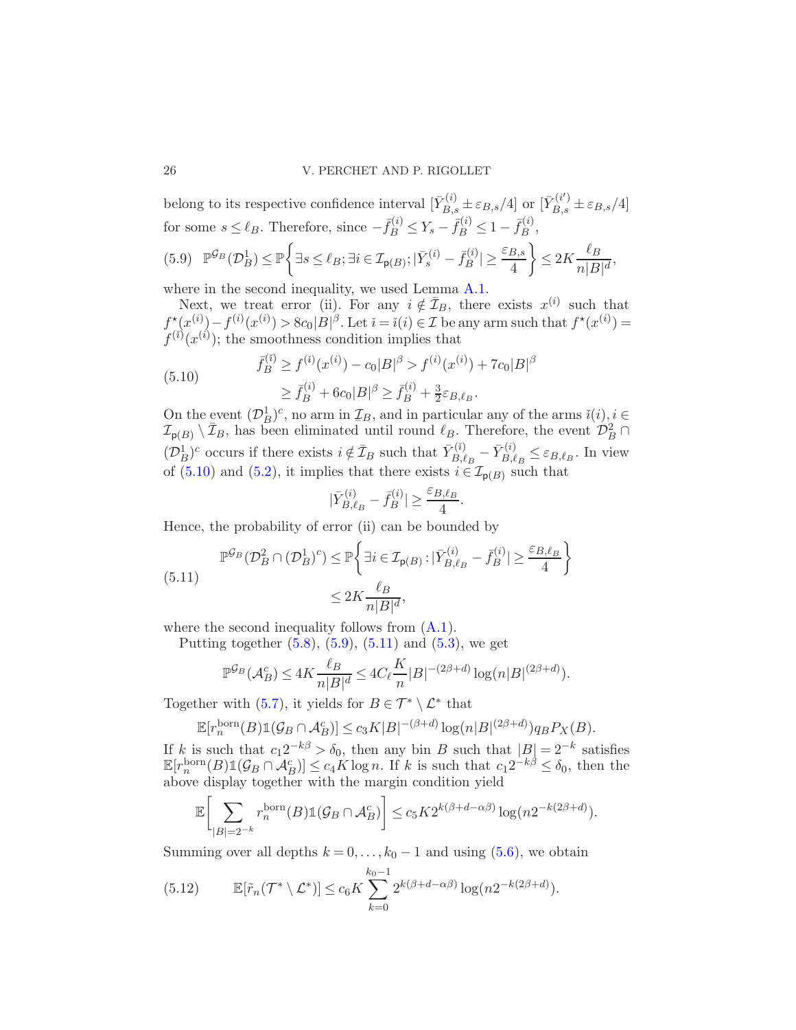belong to its respective confidence interval  $[\bar{Y}_{B,s}^{(i)} \pm \varepsilon_{B,s}/4]$  or  $[\bar{Y}_{B,s}^{(i')} \pm \varepsilon_{B,s}/4]$ for some  $s \leq \ell_B$ . Therefore, since  $-\bar{f}_B^{(i)} \leq Y_s - \bar{f}_B^{(i)} \leq 1 - \bar{f}_B^{(i)}$  $B^{\left(i\right)},$ 

<span id="page-25-1"></span>
$$
(5.9) \quad \mathbb{P}^{\mathcal{G}_B}(\mathcal{D}_B^1) \le \mathbb{P}\left\{\exists s \le \ell_B; \exists i \in \mathcal{I}_{\mathbf{p}(B)}; |\bar{Y}_s^{(i)} - \bar{f}_B^{(i)}| \ge \frac{\varepsilon_{B,s}}{4}\right\} \le 2K\frac{\ell_B}{n|B|^d},
$$

where in the second inequality, we used Lemma [A.1.](#page-27-0)

Next, we treat error (ii). For any  $i \notin \overline{I}_B$ , there exists  $x^{(i)}$  such that  $f^{\star}(x^{(i)}) - f^{(i)}(x^{(i)}) > 8c_0|B|^{\beta}$ . Let  $i = i(i) \in \mathcal{I}$  be any arm such that  $f^{\star}(x^{(i)}) =$  $f^{(i)}(x^{(i)})$ ; the smoothness condition implies that

<span id="page-25-0"></span>(5.10) 
$$
\begin{aligned} \bar{f}_B^{(i)} &\ge f^{(i)}(x^{(i)}) - c_0|B|^\beta > f^{(i)}(x^{(i)}) + 7c_0|B|^\beta \\ &\ge \bar{f}_B^{(i)} + 6c_0|B|^\beta > \bar{f}_B^{(i)} + \frac{3}{2}\varepsilon_{B,\ell_B}. \end{aligned}
$$

On the event  $(\mathcal{D}_{B}^{1})^{c}$ , no arm in  $\mathcal{I}_{B}$ , and in particular any of the arms  $\tilde{i}(i), i \in$  $\mathcal{I}_{p(B)} \setminus \overline{\mathcal{I}}_B$ , has been eliminated until round  $\ell_B$ . Therefore, the event  $\mathcal{D}_B^2 \cap$  $(\mathcal{D}_{B}^{1})^{c}$  occurs if there exists  $i \notin \bar{\mathcal{I}}_{B}$  such that  $\bar{Y}_{B,\ell}^{(i)}$  $\bar{Y}_{B,\ell_B}^{(i)} - \bar{Y}_{B,\ell_B}^{(i)}$  $\zeta_{B,\ell_B}^{(i)} \leq \varepsilon_{B,\ell_B}$ . In view of  $(5.10)$  and  $(5.2)$ , it implies that there exists  $i \in \mathcal{I}_{p(B)}$  such that

$$
|\bar{Y}_{B,\ell_B}^{(i)}-\bar{f}_B^{(i)}| \geq \frac{\varepsilon_{B,\ell_B}}{4}
$$

.

Hence, the probability of error (ii) can be bounded by

<span id="page-25-2"></span>
$$
\mathbb{P}^{\mathcal{G}_B}(\mathcal{D}_B^2 \cap (\mathcal{D}_B^1)^c) \le \mathbb{P}\left\{\exists i \in \mathcal{I}_{\mathbf{p}(B)} : |\bar{Y}_{B,\ell_B}^{(i)} - \bar{f}_B^{(i)}| \ge \frac{\varepsilon_{B,\ell_B}}{4}\right\}
$$
\n
$$
\le 2K \frac{\ell_B}{n|B|^d},
$$

where the second inequality follows from  $(A.1)$ .

Putting together  $(5.8)$ ,  $(5.9)$ ,  $(5.11)$  and  $(5.3)$ , we get

$$
\mathbb{P}^{\mathcal{G}_B}(\mathcal{A}_B^c) \le 4K \frac{\ell_B}{n|B|^d} \le 4C_{\ell} \frac{K}{n}|B|^{-(2\beta+d)} \log(n|B|^{(2\beta+d)}).
$$

Together with [\(5.7\)](#page-24-1), it yields for  $B \in \mathcal{T}^* \setminus \mathcal{L}^*$  that

$$
\mathbb{E}[r_n^{\text{born}}(B)\mathbb{1}(\mathcal{G}_B \cap \mathcal{A}_B^c)] \le c_3 K|B|^{-(\beta+d)} \log(n|B|^{(2\beta+d)}) q_B P_X(B).
$$

If k is such that  $c_1 2^{-k\beta} > \delta_0$ , then any bin B such that  $|B| = 2^{-k}$  satisfies  $\mathbb{E}[r_n^{\text{born}}(B)\mathbb{1}(\mathcal{G}_B \cap \mathcal{A}_B^c)] \leq c_4 K \log n$ . If k is such that  $c_1 2^{-k\beta} \leq \delta_0$ , then the above display together with the margin condition yield

$$
\mathbb{E}\bigg[\sum_{|B|=2^{-k}} r_n^{\text{born}}(B)\mathbb{1}(\mathcal{G}_B \cap \mathcal{A}_B^c)\bigg] \le c_5 K 2^{k(\beta+d-\alpha\beta)} \log(n2^{-k(2\beta+d)}).
$$

Summing over all depths  $k = 0, \ldots, k_0 - 1$  and using [\(5.6\)](#page-24-2), we obtain

<span id="page-25-3"></span>(5.12) 
$$
\mathbb{E}[\tilde{r}_n(\mathcal{T}^* \setminus \mathcal{L}^*)] \leq c_6 K \sum_{k=0}^{k_0-1} 2^{k(\beta+d-\alpha\beta)} \log(n2^{-k(2\beta+d)}).
$$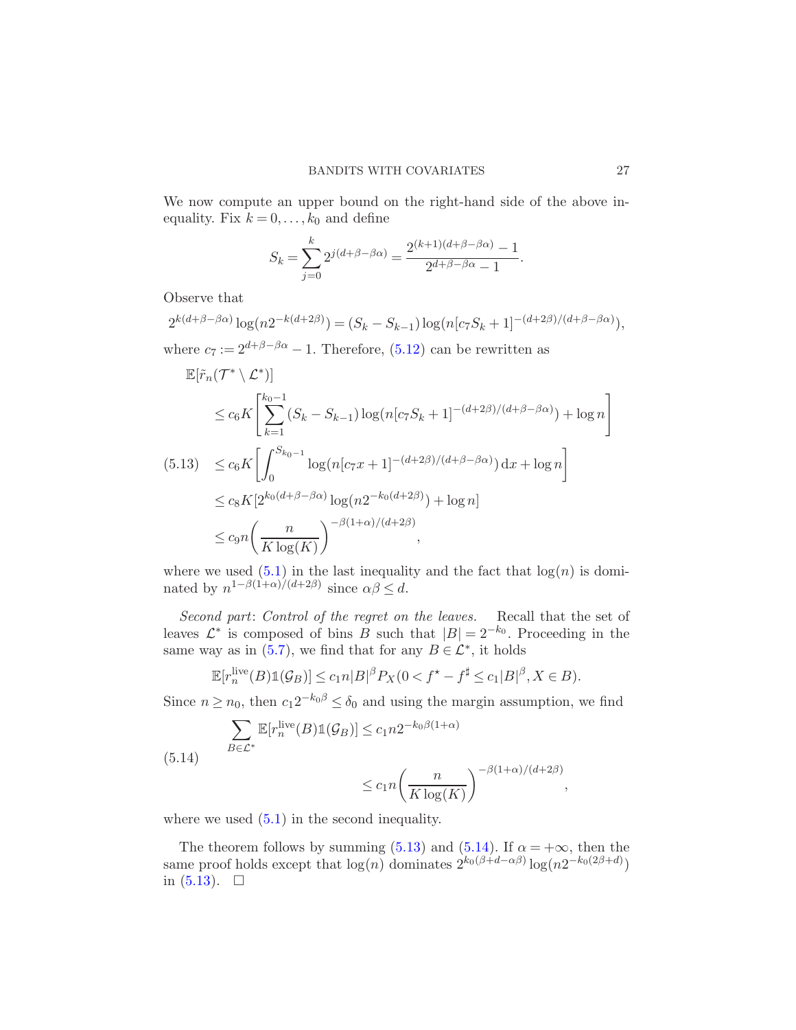We now compute an upper bound on the right-hand side of the above inequality. Fix  $k = 0, \ldots, k_0$  and define

$$
S_k=\sum_{j=0}^k2^{j(d+\beta-\beta\alpha)}=\frac{2^{(k+1)(d+\beta-\beta\alpha)}-1}{2^{d+\beta-\beta\alpha}-1}.
$$

Observe that

$$
2^{k(d+\beta-\beta\alpha)}\log(n2^{-k(d+2\beta)}) = (S_k - S_{k-1})\log(n[c_7S_k+1]^{-(d+2\beta)/(d+\beta-\beta\alpha)}),
$$
  
where  $c_7 := 2^{d+\beta-\beta\alpha} - 1$ . Therefore, (5.12) can be rewritten as

<span id="page-26-0"></span>
$$
\mathbb{E}[\tilde{r}_n(\mathcal{T}^* \setminus \mathcal{L}^*)]
$$
\n
$$
\leq c_6 K \left[ \sum_{k=1}^{k_0 - 1} (S_k - S_{k-1}) \log(n[c_7 S_k + 1]^{-(d+2\beta)/(d+\beta-\beta\alpha)}) + \log n \right]
$$
\n(5.13) 
$$
\leq c_6 K \left[ \int_0^{S_{k_0 - 1}} \log(n[c_7 x + 1]^{-(d+2\beta)/(d+\beta-\beta\alpha)}) dx + \log n \right]
$$
\n
$$
\leq c_8 K \left[ 2^{k_0(d+\beta-\beta\alpha)} \log(n2^{-k_0(d+2\beta)}) + \log n \right]
$$
\n
$$
\leq c_9 n \left( \frac{n}{K \log(K)} \right)^{-\beta(1+\alpha)/(d+2\beta)},
$$

where we used  $(5.1)$  in the last inequality and the fact that  $log(n)$  is dominated by  $n^{1-\beta(1+\alpha)/(d+2\beta)}$  since  $\alpha\beta \leq d$ .

Second part: Control of the regret on the leaves. Recall that the set of leaves  $\mathcal{L}^*$  is composed of bins B such that  $|B| = 2^{-k_0}$ . Proceeding in the same way as in [\(5.7\)](#page-24-1), we find that for any  $B \in \mathcal{L}^*$ , it holds

<span id="page-26-1"></span>
$$
\mathbb{E}[r_n^{\text{live}}(B)\mathbb{1}(\mathcal{G}_B)] \le c_1 n |B|^{\beta} P_X (0 < f^{\star} - f^{\sharp} \le c_1 |B|^{\beta}, X \in B).
$$

Since  $n \ge n_0$ , then  $c_1 2^{-k_0 \beta} \le \delta_0$  and using the margin assumption, we find

(5.14) 
$$
\sum_{B \in \mathcal{L}^*} \mathbb{E}[r_n^{\text{live}}(B) \mathbb{1}(\mathcal{G}_B)] \le c_1 n 2^{-k_0 \beta (1+\alpha)}
$$

$$
\le c_1 n \left(\frac{n}{K \log(K)}\right)^{-\beta (1+\alpha)/(d+2\beta)},
$$

where we used  $(5.1)$  in the second inequality.

The theorem follows by summing [\(5.13\)](#page-26-0) and [\(5.14\)](#page-26-1). If  $\alpha = +\infty$ , then the same proof holds except that  $\log(n)$  dominates  $2^{k_0(\beta+d-\alpha\beta)}\log(n2^{-k_0(2\beta+d)})$ in  $(5.13)$ .  $\Box$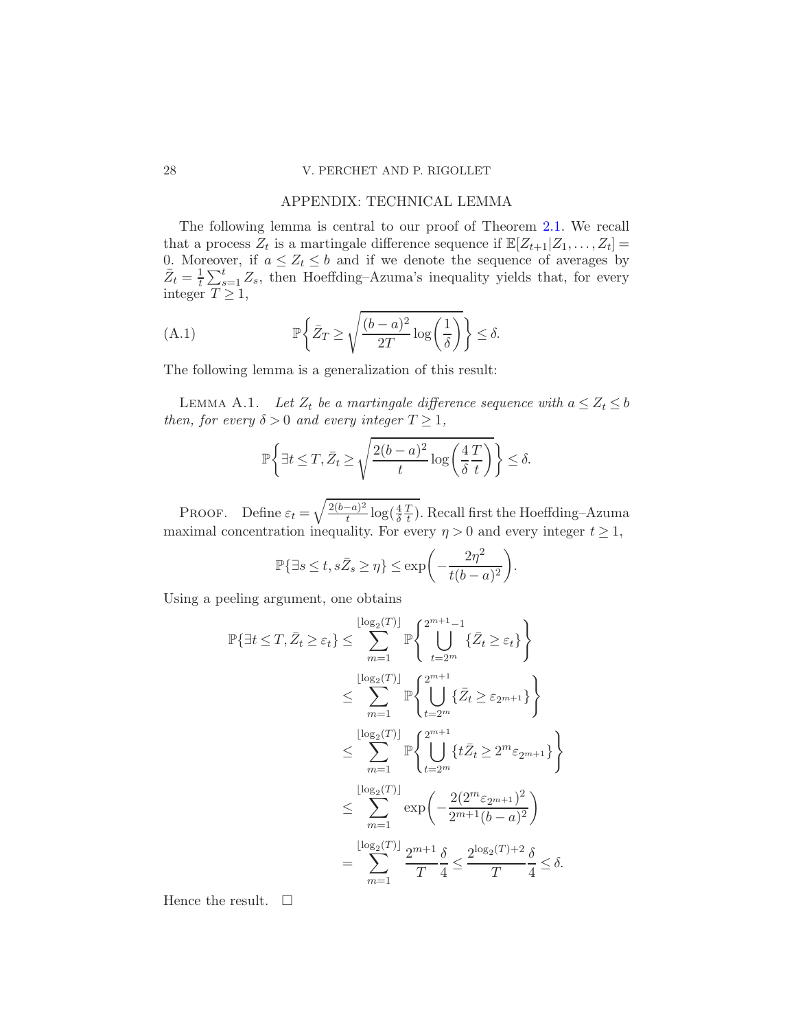# 28 V. PERCHET AND P. RIGOLLET

# APPENDIX: TECHNICAL LEMMA

The following lemma is central to our proof of Theorem [2.1.](#page-5-1) We recall that a process  $Z_t$  is a martingale difference sequence if  $\mathbb{E}[Z_{t+1}|Z_1,\ldots,Z_t] =$ 0. Moreover, if  $a \leq Z_t \leq b$  and if we denote the sequence of averages by  $\bar{Z}_t = \frac{1}{t}$  $\frac{1}{t}\sum_{s=1}^{t} Z_s$ , then Hoeffding–Azuma's inequality yields that, for every integer  $T \geq 1$ ,

(A.1) 
$$
\mathbb{P}\left\{\bar{Z}_T \ge \sqrt{\frac{(b-a)^2}{2T}\log\left(\frac{1}{\delta}\right)}\right\} \le \delta.
$$

The following lemma is a generalization of this result:

LEMMA A.1. Let  $Z_t$  be a martingale difference sequence with  $a \leq Z_t \leq b$ then, for every  $\delta > 0$  and every integer  $T \geq 1$ ,

<span id="page-27-1"></span><span id="page-27-0"></span>
$$
\mathbb{P}\bigg\{\exists t \le T, \bar{Z}_t \ge \sqrt{\frac{2(b-a)^2}{t}} \log\left(\frac{4 T}{\delta t}\right)\bigg\} \le \delta.
$$

PROOF. Define  $\varepsilon_t = \sqrt{\frac{2(b-a)^2}{t}}$  $\frac{(-a)^2}{t} \log\left(\frac{4}{\delta}\right)$  $\mathcal{I}$  $\frac{T}{t}$ ). Recall first the Hoeffding–Azuma maximal concentration inequality. For every  $\eta > 0$  and every integer  $t \geq 1$ ,

$$
\mathbb{P}\{\exists s \le t, s\bar{Z}_s \ge \eta\} \le \exp\bigg(-\frac{2\eta^2}{t(b-a)^2}\bigg).
$$

Using a peeling argument, one obtains

$$
\mathbb{P}\{\exists t \leq T, \bar{Z}_t \geq \varepsilon_t\} \leq \sum_{m=1}^{\lfloor \log_2(T) \rfloor} \mathbb{P}\left\{\bigcup_{t=2^m}^{2^{m+1}-1} \{\bar{Z}_t \geq \varepsilon_t\}\right\} \n\leq \sum_{m=1}^{\lfloor \log_2(T) \rfloor} \mathbb{P}\left\{\bigcup_{t=2^m}^{2^{m+1}} \{\bar{Z}_t \geq \varepsilon_{2^{m+1}}\}\right\} \n\leq \sum_{m=1}^{\lfloor \log_2(T) \rfloor} \mathbb{P}\left\{\bigcup_{t=2^m}^{2^{m+1}} \{\bar{Z}_t \geq 2^m \varepsilon_{2^{m+1}}\}\right\} \n\leq \sum_{m=1}^{\lfloor \log_2(T) \rfloor} \exp\left(-\frac{2(2^m \varepsilon_{2^{m+1}})^2}{2^{m+1}(b-a)^2}\right) \n= \sum_{m=1}^{\lfloor \log_2(T) \rfloor} \frac{2^{m+1}}{T} \frac{\delta}{4} \leq \frac{2^{\log_2(T)+2}}{T} \frac{\delta}{4} \leq \delta.
$$

Hence the result.  $\square$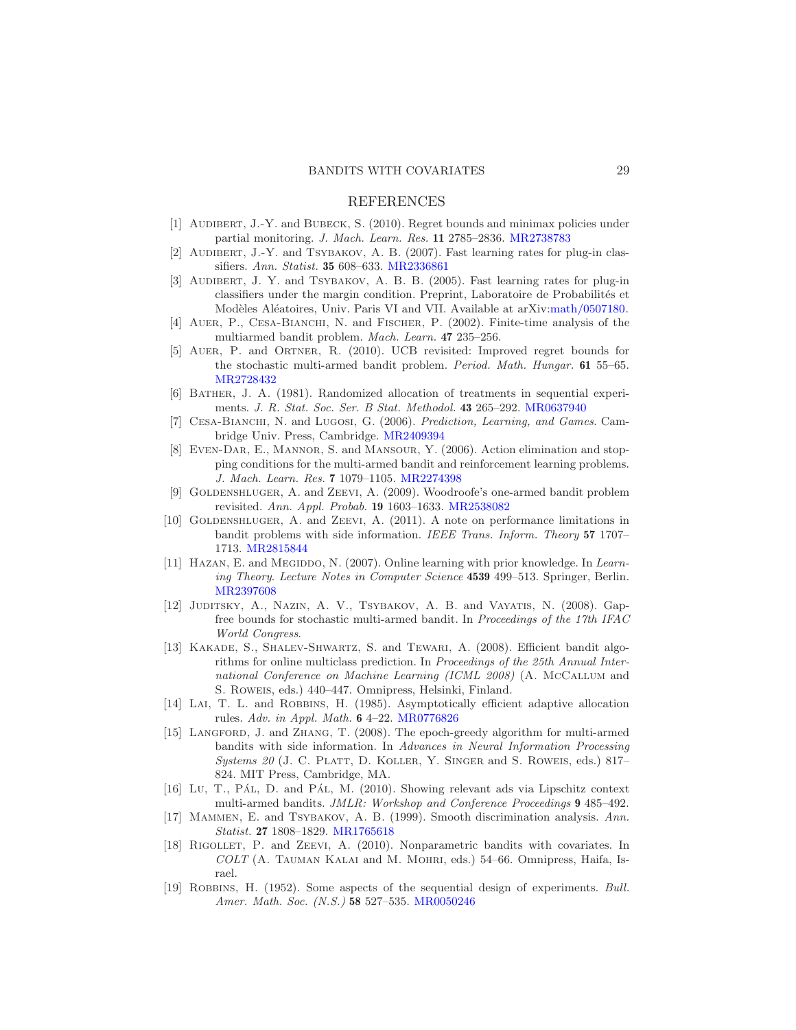## REFERENCES

- <span id="page-28-13"></span>[1] Audibert, J.-Y. and Bubeck, S. (2010). Regret bounds and minimax policies under partial monitoring. *J. Mach. Learn. Res.* 11 2785–2836. [MR2738783](http://www.ams.org/mathscinet-getitem?mr=2738783)
- <span id="page-28-7"></span>[2] AUDIBERT, J.-Y. and TSYBAKOV, A. B. (2007). Fast learning rates for plug-in classifiers. *Ann. Statist.* 35 608–633. [MR2336861](http://www.ams.org/mathscinet-getitem?mr=2336861)
- <span id="page-28-17"></span>[3] AUDIBERT, J. Y. and TSYBAKOV, A. B. B. (2005). Fast learning rates for plug-in classifiers under the margin condition. Preprint, Laboratoire de Probabilités et Modèles Aléatoires, Univ. Paris VI and VII. Available at arXiv[:math/0507180.](http://arxiv.org/abs/math/0507180)
- <span id="page-28-2"></span>[4] AUER, P., CESA-BIANCHI, N. and FISCHER, P. (2002). Finite-time analysis of the multiarmed bandit problem. *Mach. Learn.* 47 235–256.
- <span id="page-28-12"></span>[5] Auer, P. and Ortner, R. (2010). UCB revisited: Improved regret bounds for the stochastic multi-armed bandit problem. *Period. Math. Hungar.* 61 55–65. [MR2728432](http://www.ams.org/mathscinet-getitem?mr=2728432)
- <span id="page-28-14"></span>[6] Bather, J. A. (1981). Randomized allocation of treatments in sequential experiments. *J. R. Stat. Soc. Ser. B Stat. Methodol.* 43 265–292. [MR0637940](http://www.ams.org/mathscinet-getitem?mr=0637940)
- <span id="page-28-18"></span>[7] Cesa-Bianchi, N. and Lugosi, G. (2006). *Prediction, Learning, and Games*. Cambridge Univ. Press, Cambridge. [MR2409394](http://www.ams.org/mathscinet-getitem?mr=2409394)
- <span id="page-28-6"></span>[8] Even-Dar, E., Mannor, S. and Mansour, Y. (2006). Action elimination and stopping conditions for the multi-armed bandit and reinforcement learning problems. *J. Mach. Learn. Res.* 7 1079–1105. [MR2274398](http://www.ams.org/mathscinet-getitem?mr=2274398)
- <span id="page-28-3"></span>[9] GOLDENSHLUGER, A. and ZEEVI, A. (2009). Woodroofe's one-armed bandit problem revisited. *Ann. Appl. Probab.* 19 1603–1633. [MR2538082](http://www.ams.org/mathscinet-getitem?mr=2538082)
- <span id="page-28-4"></span>[10] Goldenshluger, A. and Zeevi, A. (2011). A note on performance limitations in bandit problems with side information. *IEEE Trans. Inform. Theory* 57 1707– 1713. [MR2815844](http://www.ams.org/mathscinet-getitem?mr=2815844)
- <span id="page-28-10"></span>[11] HAZAN, E. and MEGIDDO, N. (2007). Online learning with prior knowledge. In *Learning Theory*. *Lecture Notes in Computer Science* 4539 499–513. Springer, Berlin. [MR2397608](http://www.ams.org/mathscinet-getitem?mr=2397608)
- <span id="page-28-15"></span>[12] Juditsky, A., Nazin, A. V., Tsybakov, A. B. and Vayatis, N. (2008). Gapfree bounds for stochastic multi-armed bandit. In *Proceedings of the 17th IFAC World Congress*.
- <span id="page-28-9"></span>[13] Kakade, S., Shalev-Shwartz, S. and Tewari, A. (2008). Efficient bandit algorithms for online multiclass prediction. In *Proceedings of the 25th Annual International Conference on Machine Learning (ICML 2008)* (A. McCallum and S. Roweis, eds.) 440–447. Omnipress, Helsinki, Finland.
- <span id="page-28-1"></span>[14] LAI, T. L. and ROBBINS, H. (1985). Asymptotically efficient adaptive allocation rules. *Adv. in Appl. Math.* 6 4–22. [MR0776826](http://www.ams.org/mathscinet-getitem?mr=0776826)
- <span id="page-28-8"></span>[15] LANGFORD, J. and ZHANG, T. (2008). The epoch-greedy algorithm for multi-armed bandits with side information. In *Advances in Neural Information Processing Systems 20* (J. C. PLATT, D. KOLLER, Y. SINGER and S. ROWEIS, eds.) 817– 824. MIT Press, Cambridge, MA.
- <span id="page-28-11"></span>[16] Lu, T., Pál, D. and Pál, M. (2010). Showing relevant ads via Lipschitz context multi-armed bandits. *JMLR: Workshop and Conference Proceedings* 9 485–492.
- <span id="page-28-16"></span>[17] Mammen, E. and Tsybakov, A. B. (1999). Smooth discrimination analysis. *Ann. Statist.* 27 1808–1829. [MR1765618](http://www.ams.org/mathscinet-getitem?mr=1765618)
- <span id="page-28-5"></span>[18] Rigollet, P. and Zeevi, A. (2010). Nonparametric bandits with covariates. In *COLT* (A. Tauman Kalai and M. Mohri, eds.) 54–66. Omnipress, Haifa, Israel.
- <span id="page-28-0"></span>[19] Robbins, H. (1952). Some aspects of the sequential design of experiments. *Bull. Amer. Math. Soc. (N.S.)* 58 527–535. [MR0050246](http://www.ams.org/mathscinet-getitem?mr=0050246)